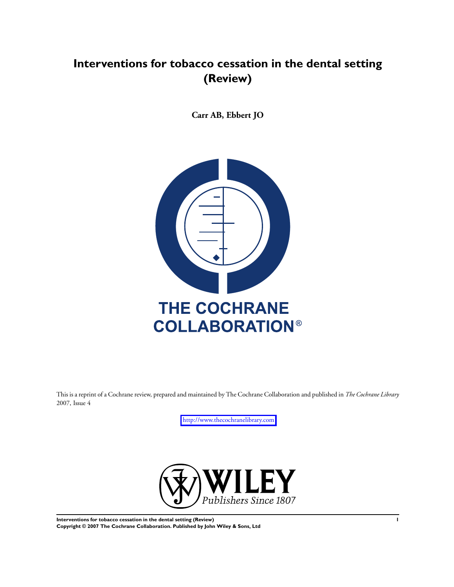# **Interventions for tobacco cessation in the dental setting (Review)**

**Carr AB, Ebbert JO**



This is a reprint of a Cochrane review, prepared and maintained by The Cochrane Collaboration and published in *The Cochrane Library* 2007, Issue 4

<http://www.thecochranelibrary.com>



**Interventions for tobacco cessation in the dental setting (Review) 1 Copyright © 2007 The Cochrane Collaboration. Published by John Wiley & Sons, Ltd**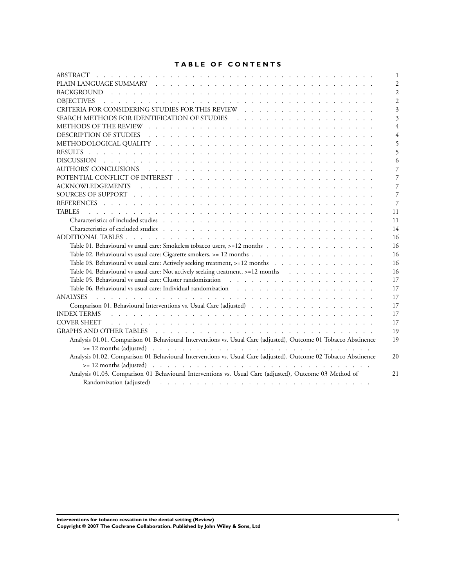# **TABLE OF CONTENTS**

| <b>ABSTRACT</b><br><u>. In the second contract of the second contract of the second contract of the second contract of the second con</u><br>$\mathbf{1}$                                                                                               |
|---------------------------------------------------------------------------------------------------------------------------------------------------------------------------------------------------------------------------------------------------------|
| $\overline{2}$                                                                                                                                                                                                                                          |
| $\overline{2}$<br><b>BACKGROUND</b>                                                                                                                                                                                                                     |
| $\overline{c}$                                                                                                                                                                                                                                          |
| 3                                                                                                                                                                                                                                                       |
| 3                                                                                                                                                                                                                                                       |
| 4                                                                                                                                                                                                                                                       |
| DESCRIPTION OF STUDIES resources and contract the contract of the studies of the contract of the contract of the contract of the contract of the contract of the contract of the contract of the contract of the contract of t<br>4                     |
| 5                                                                                                                                                                                                                                                       |
| 5                                                                                                                                                                                                                                                       |
| 6                                                                                                                                                                                                                                                       |
| 7                                                                                                                                                                                                                                                       |
| 7                                                                                                                                                                                                                                                       |
| 7                                                                                                                                                                                                                                                       |
| 7                                                                                                                                                                                                                                                       |
| $\overline{7}$                                                                                                                                                                                                                                          |
| <b>TABLES</b><br>a constitution de la constitution de la constitution de la constitution de la constitution de la constitution<br>11                                                                                                                    |
| 11                                                                                                                                                                                                                                                      |
| 14                                                                                                                                                                                                                                                      |
| 16                                                                                                                                                                                                                                                      |
| Table 01. Behavioural vs usual care: Smokeless tobacco users, >=12 months<br>16                                                                                                                                                                         |
| 16                                                                                                                                                                                                                                                      |
| Table 03. Behavioural vs usual care: Actively seeking treatment, >=12 months<br>16                                                                                                                                                                      |
| Table 04. Behavioural vs usual care: Not actively seeking treatment, >=12 months<br>16                                                                                                                                                                  |
| 17                                                                                                                                                                                                                                                      |
| 17                                                                                                                                                                                                                                                      |
| <b>ANALYSES</b><br>and the contract of the contract of the contract of the contract of the contract of the contract of the contract of the contract of the contract of the contract of the contract of the contract of the contract of the contra<br>17 |
| 17                                                                                                                                                                                                                                                      |
| INDEX TERMS residences and contract the contract of the contract of the contract of the contract of the contract of the contract of the contract of the contract of the contract of the contract of the contract of the contra<br>17                    |
| <b>COVER SHEET</b><br>17                                                                                                                                                                                                                                |
| 19                                                                                                                                                                                                                                                      |
| Analysis 01.01. Comparison 01 Behavioural Interventions vs. Usual Care (adjusted), Outcome 01 Tobacco Abstinence<br>19                                                                                                                                  |
|                                                                                                                                                                                                                                                         |
| Analysis 01.02. Comparison 01 Behavioural Interventions vs. Usual Care (adjusted), Outcome 02 Tobacco Abstinence<br>20                                                                                                                                  |
|                                                                                                                                                                                                                                                         |
| Analysis 01.03. Comparison 01 Behavioural Interventions vs. Usual Care (adjusted), Outcome 03 Method of<br>21                                                                                                                                           |
|                                                                                                                                                                                                                                                         |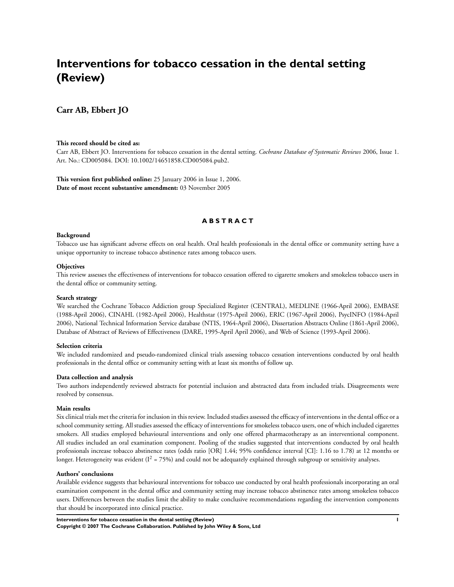# **Interventions for tobacco cessation in the dental setting (Review)**

# **Carr AB, Ebbert JO**

## **This record should be cited as:**

Carr AB, Ebbert JO. Interventions for tobacco cessation in the dental setting. *Cochrane Database of Systematic Reviews* 2006, Issue 1. Art. No.: CD005084. DOI: 10.1002/14651858.CD005084.pub2.

**This version first published online:** 25 January 2006 in Issue 1, 2006. **Date of most recent substantive amendment:** 03 November 2005

# **A B S T R A C T**

### **Background**

Tobacco use has significant adverse effects on oral health. Oral health professionals in the dental office or community setting have a unique opportunity to increase tobacco abstinence rates among tobacco users.

## **Objectives**

This review assesses the effectiveness of interventions for tobacco cessation offered to cigarette smokers and smokeless tobacco users in the dental office or community setting.

## **Search strategy**

We searched the Cochrane Tobacco Addiction group Specialized Register (CENTRAL), MEDLINE (1966-April 2006), EMBASE (1988-April 2006), CINAHL (1982-April 2006), Healthstar (1975-April 2006), ERIC (1967-April 2006), PsycINFO (1984-April 2006), National Technical Information Service database (NTIS, 1964-April 2006), Dissertation Abstracts Online (1861-April 2006), Database of Abstract of Reviews of Effectiveness (DARE, 1995-April April 2006), and Web of Science (1993-April 2006).

## **Selection criteria**

We included randomized and pseudo-randomized clinical trials assessing tobacco cessation interventions conducted by oral health professionals in the dental office or community setting with at least six months of follow up.

#### **Data collection and analysis**

Two authors independently reviewed abstracts for potential inclusion and abstracted data from included trials. Disagreements were resolved by consensus.

## **Main results**

Six clinical trials met the criteria for inclusion in this review. Included studies assessed the efficacy of interventions in the dental office or a school community setting. All studies assessed the efficacy of interventions for smokeless tobacco users, one of which included cigarettes smokers. All studies employed behavioural interventions and only one offered pharmacotherapy as an interventional component. All studies included an oral examination component. Pooling of the studies suggested that interventions conducted by oral health professionals increase tobacco abstinence rates (odds ratio [OR] 1.44; 95% confidence interval [CI]: 1.16 to 1.78) at 12 months or longer. Heterogeneity was evident ( $I^2 = 75\%$ ) and could not be adequately explained through subgroup or sensitivity analyses.

#### **Authors' conclusions**

Available evidence suggests that behavioural interventions for tobacco use conducted by oral health professionals incorporating an oral examination component in the dental office and community setting may increase tobacco abstinence rates among smokeless tobacco users. Differences between the studies limit the ability to make conclusive recommendations regarding the intervention components that should be incorporated into clinical practice.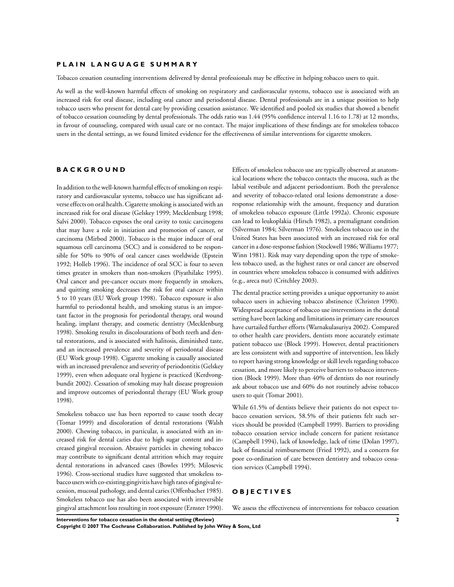## **P L A I N L A N G U A G E S U M M A R Y**

Tobacco cessation counseling interventions delivered by dental professionals may be effective in helping tobacco users to quit.

As well as the well-known harmful effects of smoking on respiratory and cardiovascular systems, tobacco use is associated with an increased risk for oral disease, including oral cancer and periodontal disease. Dental professionals are in a unique position to help tobacco users who present for dental care by providing cessation assistance. We identified and pooled six studies that showed a benefit of tobacco cessation counseling by dental professionals. The odds ratio was 1.44 (95% confidence interval 1.16 to 1.78) at 12 months, in favour of counseling, compared with usual care or no contact. The major implications of these findings are for smokeless tobacco users in the dental settings, as we found limited evidence for the effectiveness of similar interventions for cigarette smokers.

# **B A C K G R O U N D**

In addition to the well-known harmful effects of smoking on respiratory and cardiovascular systems, tobacco use has significant adverse effects on oral health. Cigarette smoking is associated with an increased risk for oral disease (Gelskey 1999; Mecklenburg 1998; Salvi 2000). Tobacco exposes the oral cavity to toxic carcinogens that may have a role in initiation and promotion of cancer, or carcinoma (Mirbod 2000). Tobacco is the major inducer of oral squamous cell carcinoma (SCC) and is considered to be responsible for 50% to 90% of oral cancer cases worldwide (Epstein 1992; Holleb 1996). The incidence of oral SCC is four to seven times greater in smokers than non-smokers (Piyathilake 1995). Oral cancer and pre-cancer occurs more frequently in smokers, and quitting smoking decreases the risk for oral cancer within 5 to 10 years (EU Work group 1998). Tobacco exposure is also harmful to periodontal health, and smoking status is an important factor in the prognosis for periodontal therapy, oral wound healing, implant therapy, and cosmetic dentistry (Mecklenburg 1998). Smoking results in discolourations of both teeth and dental restorations, and is associated with halitosis, diminished taste, and an increased prevalence and severity of periodontal disease (EU Work group 1998). Cigarette smoking is causally associated with an increased prevalence and severity of periodontitis (Gelskey 1999), even when adequate oral hygiene is practiced (Kerdvongbundit 2002). Cessation of smoking may halt disease progression and improve outcomes of periodontal therapy (EU Work group 1998).

Smokeless tobacco use has been reported to cause tooth decay (Tomar 1999) and discoloration of dental restorations (Walsh 2000). Chewing tobacco, in particular, is associated with an increased risk for dental caries due to high sugar content and increased gingival recession. Abrasive particles in chewing tobacco may contribute to significant dental attrition which may require dental restorations in advanced cases (Bowles 1995; Milosevic 1996). Cross-sectional studies have suggested that smokeless tobacco users with co-existing gingivitis have high rates of gingival recession, mucosal pathology, and dental caries (Offenbacher 1985). Smokeless tobacco use has also been associated with irreversible gingival attachment loss resulting in root exposure (Ernster 1990).

Effects of smokeless tobacco use are typically observed at anatomical locations where the tobacco contacts the mucosa, such as the labial vestibule and adjacent periodontium. Both the prevalence and severity of tobacco-related oral lesions demonstrate a doseresponse relationship with the amount, frequency and duration of smokeless tobacco exposure (Little 1992a). Chronic exposure can lead to leukoplakia (Hirsch 1982), a premalignant condition (Silverman 1984; Silverman 1976). Smokeless tobacco use in the United States has been associated with an increased risk for oral cancer in a dose-response fashion (Stockwell 1986; Williams 1977; Winn 1981). Risk may vary depending upon the type of smokeless tobacco used, as the highest rates or oral cancer are observed in countries where smokeless tobacco is consumed with additives (e.g., areca nut) (Critchley 2003).

The dental practice setting provides a unique opportunity to assist tobacco users in achieving tobacco abstinence (Christen 1990). Widespread acceptance of tobacco use interventions in the dental setting have been lacking and limitations in primary care resources have curtailed further efforts (Warnakulasuriya 2002). Compared to other health care providers, dentists more accurately estimate patient tobacco use (Block 1999). However, dental practitioners are less consistent with and supportive of intervention, less likely to report having strong knowledge or skill levels regarding tobacco cessation, and more likely to perceive barriers to tobacco intervention (Block 1999). More than 40% of dentists do not routinely ask about tobacco use and 60% do not routinely advise tobacco users to quit (Tomar 2001).

While 61.5% of dentists believe their patients do not expect tobacco cessation services, 58.5% of their patients felt such services should be provided (Campbell 1999). Barriers to providing tobacco cessation service include concern for patient resistance (Campbell 1994), lack of knowledge, lack of time (Dolan 1997), lack of financial reimbursement (Fried 1992), and a concern for poor co-ordination of care between dentistry and tobacco cessation services (Campbell 1994).

# **O B J E C T I V E S**

We assess the effectiveness of interventions for tobacco cessation

**Interventions for tobacco cessation in the dental setting (Review) 2 Copyright © 2007 The Cochrane Collaboration. Published by John Wiley & Sons, Ltd**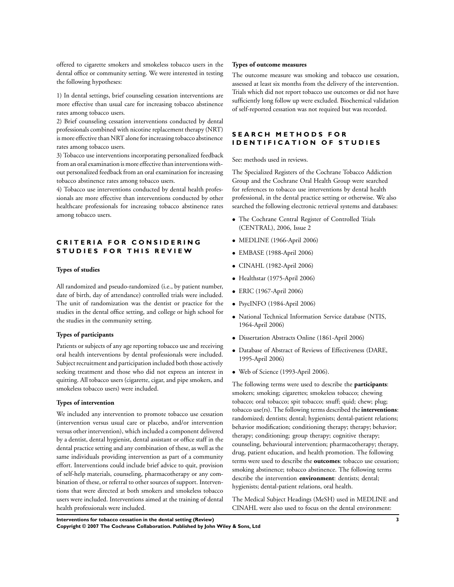offered to cigarette smokers and smokeless tobacco users in the dental office or community setting. We were interested in testing the following hypotheses:

1) In dental settings, brief counseling cessation interventions are more effective than usual care for increasing tobacco abstinence rates among tobacco users.

2) Brief counseling cessation interventions conducted by dental professionals combined with nicotine replacement therapy (NRT) is more effective than NRT alone for increasing tobacco abstinence rates among tobacco users.

3) Tobacco use interventions incorporating personalized feedback from an oral examination is more effective than interventions without personalized feedback from an oral examination for increasing tobacco abstinence rates among tobacco users.

4) Tobacco use interventions conducted by dental health professionals are more effective than interventions conducted by other healthcare professionals for increasing tobacco abstinence rates among tobacco users.

# **CRITERIA FOR CONSIDERING S T U D I E S F O R T H I S R E V I E W**

#### **Types of studies**

All randomized and pseudo-randomized (i.e., by patient number, date of birth, day of attendance) controlled trials were included. The unit of randomization was the dentist or practice for the studies in the dental office setting, and college or high school for the studies in the community setting.

# **Types of participants**

Patients or subjects of any age reporting tobacco use and receiving oral health interventions by dental professionals were included. Subject recruitment and participation included both those actively seeking treatment and those who did not express an interest in quitting. All tobacco users (cigarette, cigar, and pipe smokers, and smokeless tobacco users) were included.

## **Types of intervention**

We included any intervention to promote tobacco use cessation (intervention versus usual care or placebo, and/or intervention versus other intervention), which included a component delivered by a dentist, dental hygienist, dental assistant or office staff in the dental practice setting and any combination of these, as well as the same individuals providing intervention as part of a community effort. Interventions could include brief advice to quit, provision of self-help materials, counseling, pharmacotherapy or any combination of these, or referral to other sources of support. Interventions that were directed at both smokers and smokeless tobacco users were included. Interventions aimed at the training of dental health professionals were included.

## **Types of outcome measures**

The outcome measure was smoking and tobacco use cessation, assessed at least six months from the delivery of the intervention. Trials which did not report tobacco use outcomes or did not have sufficiently long follow up were excluded. Biochemical validation of self-reported cessation was not required but was recorded.

# **S E A R C H M E T H O D S F O R IDENTIFICATION OF STUDIES**

See: methods used in reviews.

The Specialized Registers of the Cochrane Tobacco Addiction Group and the Cochrane Oral Health Group were searched for references to tobacco use interventions by dental health professional, in the dental practice setting or otherwise. We also searched the following electronic retrieval systems and databases:

- The Cochrane Central Register of Controlled Trials (CENTRAL), 2006, Issue 2
- MEDLINE (1966-April 2006)
- EMBASE (1988-April 2006)
- CINAHL (1982-April 2006)
- Healthstar (1975-April 2006)
- ERIC (1967-April 2006)
- PsycINFO (1984-April 2006)
- National Technical Information Service database (NTIS, 1964-April 2006)
- Dissertation Abstracts Online (1861-April 2006)
- Database of Abstract of Reviews of Effectiveness (DARE, 1995-April 2006)
- Web of Science (1993-April 2006).

The following terms were used to describe the **participants**: smokers; smoking; cigarettes; smokeless tobacco; chewing tobacco; oral tobacco; spit tobacco; snuff; quid; chew; plug; tobacco use(rs). The following terms described the**interventions**: randomized; dentists; dental; hygienists; dental-patient relations; behavior modification; conditioning therapy; therapy; behavior; therapy; conditioning; group therapy; cognitive therapy; counseling, behavioural intervention; pharmacotherapy; therapy, drug, patient education, and health promotion. The following terms were used to describe the **outcomes**: tobacco use cessation; smoking abstinence; tobacco abstinence. The following terms describe the intervention **environment**: dentists; dental; hygienists; dental-patient relations, oral health.

The Medical Subject Headings (MeSH) used in MEDLINE and CINAHL were also used to focus on the dental environment:

**Interventions for tobacco cessation in the dental setting (Review) 3 Copyright © 2007 The Cochrane Collaboration. Published by John Wiley & Sons, Ltd**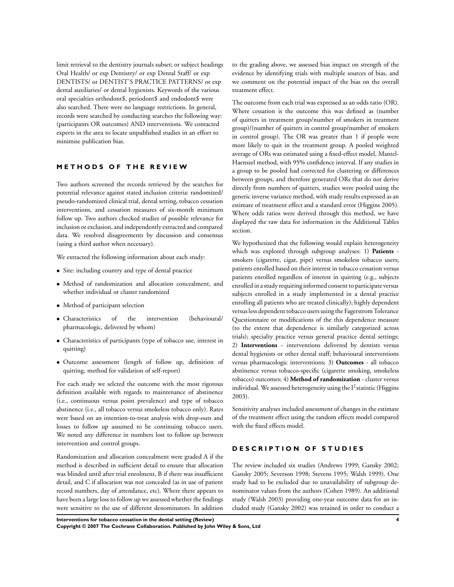limit retrieval to the dentistry journals subset; or subject headings Oral Health/ or exp Dentistry/ or exp Dental Staff/ or exp DENTISTS/ or DENTIST'S PRACTICE PATTERNS/ or exp dental auxiliaries/ or dental hygienists. Keywords of the various oral specialties orthodont\$, periodont\$ and endodont\$ were also searched. There were no language restrictions. In general, records were searched by conducting searches the following way: (participants OR outcomes) AND interventions. We contacted experts in the area to locate unpublished studies in an effort to minimise publication bias.

# **M E T H O D S O F T H E R E V I E W**

Two authors screened the records retrieved by the searches for potential relevance against stated inclusion criteria: randomized/ pseudo-randomized clinical trial, dental setting, tobacco cessation interventions, and cessation measures of six-month minimum follow up. Two authors checked studies of possible relevance for inclusion or exclusion, and independently extracted and compared data. We resolved disagreements by discussion and consensus (using a third author when necessary).

We extracted the following information about each study:

- Site: including country and type of dental practice
- Method of randomization and allocation concealment, and whether individual or cluster randomized
- Method of participant selection
- Characteristics of the intervention (behavioural/ pharmacologic, delivered by whom)
- Characteristics of participants (type of tobacco use, interest in quitting)
- Outcome assessment (length of follow up, definition of quitting, method for validation of self-report)

For each study we selcted the outcome with the most rigorous definition available with regards to maintenance of abstinence (i.e., continuous versus point prevalence) and type of tobacco abstinence (i.e., all tobacco versus smokeless tobacco only). Rates were based on an intention-to-treat analysis with drop-outs and losses to follow up assumed to be continuing tobacco users. We noted any difference in numbers lost to follow up between intervention and control groups.

Randomization and allocation concealment were graded A if the method is described in sufficient detail to ensure that allocation was blinded until after trial enrolment, B if there was insufficient detail, and C if allocation was not concealed (as in use of patient record numbers, day of attendance, etc). Where there appears to have been a large loss to follow up we assessed whether the findings were sensitive to the use of different denominators. In addition to the grading above, we assessed bias impact on strength of the evidence by identifying trials with multiple sources of bias, and we comment on the potential impact of the bias on the overall treatment effect.

The outcome from each trial was expressed as an odds ratio (OR). Where cessation is the outcome this was defined as (number of quitters in treatment group/number of smokers in treatment group)/(number of quitters in control group/number of smokers in control group). The OR was greater than 1 if people were more likely to quit in the treatment group. A pooled weighted average of ORs was estimated using a fixed-effect model, Mantel-Haenszel method, with 95% confidence interval. If any studies in a group to be pooled had corrected for clustering or differences between groups, and therefore generated ORs that do not derive directly from numbers of quitters, studies were pooled using the generic inverse variance method, with study results expressed as an estimate of treatment effect and a standard error (Higgins 2005). Where odds ratios were derived through this method, we have displayed the raw data for information in the Additional Tables section.

We hypothesized that the following would explain heterogeneity which was explored through subgroup analyses: 1) **Patients** smokers (cigarette, cigar, pipe) versus smokeless tobacco users; patients enrolled based on their interest in tobacco cessation versus patients enrolled regardless of interest in quitting (e.g., subjects enrolled in a study requiring informed consent to participate versus subjects enrolled in a study implemented in a dental practice enrolling all patients who are treated clinically); highly dependent versus less dependent tobacco users using the Fagerstrom Tolerance Questionnaire or modifications of the this dependence measure (to the extent that dependence is similarly categorized across trials); specialty practice versus general practice dental settings; 2) **Interventions** - interventions delivered by dentists versus dental hygienists or other dental staff; behavioural interventions versus pharmacologic interventions; 3) **Outcomes** - all tobacco abstinence versus tobacco-specific (cigarette smoking, smokeless tobacco) outcomes; 4) **Method of randomization** - cluster versus individual. We assessed heterogeneity using the I $^2$ statistic (Higgins 2003).

Sensitivity analyses included assessment of changes in the estimate of the treatment effect using the random effects model compared with the fixed effects model.

# **DESCRIPTION OF STUDIES**

The review included six studies (Andrews 1999; Gansky 2002; Gansky 2005; Severson 1998; Stevens 1995; Walsh 1999). One study had to be excluded due to unavailability of subgroup denominator values from the authors (Cohen 1989). An additional study (Walsh 2003) providing one-year outcome data for an included study (Gansky 2002) was retained in order to conduct a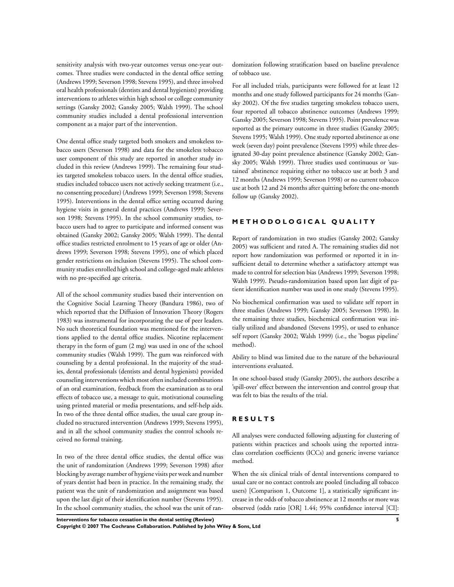sensitivity analysis with two-year outcomes versus one-year outcomes. Three studies were conducted in the dental office setting (Andrews 1999; Severson 1998; Stevens 1995), and three involved oral health professionals (dentists and dental hygienists) providing interventions to athletes within high school or college community settings (Gansky 2002; Gansky 2005; Walsh 1999). The school community studies included a dental professional intervention component as a major part of the intervention.

One dental office study targeted both smokers and smokeless tobacco users (Severson 1998) and data for the smokeless tobacco user component of this study are reported in another study included in this review (Andrews 1999). The remaining four studies targeted smokeless tobacco users. In the dental office studies, studies included tobacco users not actively seeking treatment (i.e., no consenting procedure) (Andrews 1999; Severson 1998; Stevens 1995). Interventions in the dental office setting occurred during hygiene visits in general dental practices (Andrews 1999; Severson 1998; Stevens 1995). In the school community studies, tobacco users had to agree to participate and informed consent was obtained (Gansky 2002; Gansky 2005; Walsh 1999). The dental office studies restricted enrolment to 15 years of age or older (Andrews 1999; Severson 1998; Stevens 1995), one of which placed gender restrictions on inclusion (Stevens 1995). The school community studies enrolled high school and college-aged male athletes with no pre-specified age criteria.

All of the school community studies based their intervention on the Cognitive Social Learning Theory (Bandura 1986), two of which reported that the Diffusion of Innovation Theory (Rogers 1983) was instrumental for incorporating the use of peer leaders. No such theoretical foundation was mentioned for the interventions applied to the dental office studies. Nicotine replacement therapy in the form of gum (2 mg) was used in one of the school community studies (Walsh 1999). The gum was reinforced with counseling by a dental professional. In the majority of the studies, dental professionals (dentists and dental hygienists) provided counseling interventions which most often included combinations of an oral examination, feedback from the examination as to oral effects of tobacco use, a message to quit, motivational counseling using printed material or media presentations, and self-help aids. In two of the three dental office studies, the usual care group included no structured intervention (Andrews 1999; Stevens 1995), and in all the school community studies the control schools received no formal training.

In two of the three dental office studies, the dental office was the unit of randomization (Andrews 1999; Severson 1998) after blocking by average number of hygiene visits per week and number of years dentist had been in practice. In the remaining study, the patient was the unit of randomization and assignment was based upon the last digit of their identification number (Stevens 1995). In the school community studies, the school was the unit of randomization following stratification based on baseline prevalence of tobbaco use.

For all included trials, participants were followed for at least 12 months and one study followed participants for 24 months (Gansky 2002). Of the five studies targeting smokeless tobacco users, four reported all tobacco abstinence outcomes (Andrews 1999; Gansky 2005; Severson 1998; Stevens 1995). Point prevalence was reported as the primary outcome in three studies (Gansky 2005; Stevens 1995; Walsh 1999). One study reported abstinence as one week (seven day) point prevalence (Stevens 1995) while three designated 30-day point prevalence abstinence (Gansky 2002; Gansky 2005; Walsh 1999). Three studies used continuous or 'sustained' abstinence requiring either no tobacco use at both 3 and 12 months (Andrews 1999; Severson 1998) or no current tobacco use at both 12 and 24 months after quitting before the one-month follow up (Gansky 2002).

# **M E T H O D O L O G I C A L Q U A L I T Y**

Report of randomization in two studies (Gansky 2002; Gansky 2005) was sufficient and rated A. The remaining studies did not report how randomization was performed or reported it in insufficient detail to determine whether a satisfactory attempt was made to control for selection bias (Andrews 1999; Severson 1998; Walsh 1999). Pseudo-randomization based upon last digit of patient identification number was used in one study (Stevens 1995).

No biochemical confirmation was used to validate self report in three studies (Andrews 1999; Gansky 2005; Severson 1998). In the remaining three studies, biochemical confirmation was initially utilized and abandoned (Stevens 1995), or used to enhance self report (Gansky 2002; Walsh 1999) (i.e., the 'bogus pipeline' method).

Ability to blind was limited due to the nature of the behavioural interventions evaluated.

In one school-based study (Gansky 2005), the authors describe a 'spill-over' effect between the intervention and control group that was felt to bias the results of the trial.

# **R E S U L T S**

All analyses were conducted following adjusting for clustering of patients within practices and schools using the reported intraclass correlation coefficients (ICCs) and generic inverse variance method.

When the six clinical trials of dental interventions compared to usual care or no contact controls are pooled (including all tobacco users) [Comparison 1, Outcome 1], a statistically significant increase in the odds of tobacco abstinence at 12 months or more was observed (odds ratio [OR] 1.44; 95% confidence interval [CI]: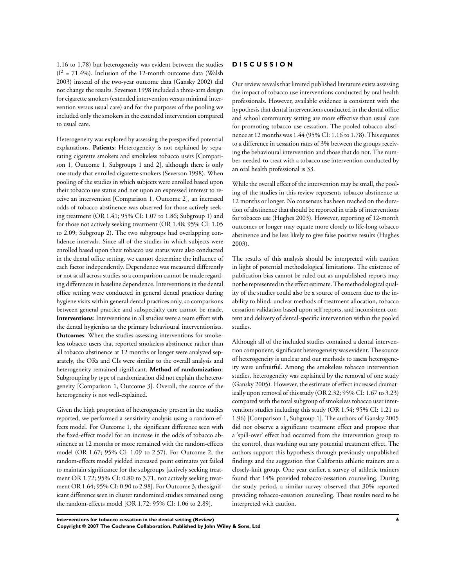1.16 to 1.78) but heterogeneity was evident between the studies  $(I<sup>2</sup> = 71.4%)$ . Inclusion of the 12-month outcome data (Walsh 2003) instead of the two-year outcome data (Gansky 2002) did not change the results. Severson 1998 included a three-arm design for cigarette smokers (extended intervention versus minimal intervention versus usual care) and for the purposes of the pooling we included only the smokers in the extended intervention compared to usual care.

Heterogeneity was explored by assessing the prespecified potential explanations. **Patients**: Heterogeneity is not explained by separating cigarette smokers and smokeless tobacco users [Comparison 1, Outcome 1, Subgroups 1 and 2], although there is only one study that enrolled cigarette smokers (Severson 1998). When pooling of the studies in which subjects were enrolled based upon their tobacco use status and not upon an expressed interest to receive an intervention [Comparison 1, Outcome 2], an increased odds of tobacco abstinence was observed for those actively seeking treatment (OR 1.41; 95% CI: 1.07 to 1.86; Subgroup 1) and for those not actively seeking treatment (OR 1.48; 95% CI: 1.05 to 2.09; Subgroup 2). The two subgroups had overlapping confidence intervals. Since all of the studies in which subjects were enrolled based upon their tobacco use status were also conducted in the dental office setting, we cannot determine the influence of each factor independently. Dependence was measured differently or not at all across studies so a comparison cannot be made regarding differences in baseline dependence. Interventions in the dental office setting were conducted in general dental practices during hygiene visits within general dental practices only, so comparisons between general practice and subspecialty care cannot be made. **Interventions**: Interventions in all studies were a team effort with the dental hygienists as the primary behavioural interventionists. **Outcomes**: When the studies assessing interventions for smokeless tobacco users that reported smokeless abstinence rather than all tobacco abstinence at 12 months or longer were analyzed separately, the ORs and CIs were similar to the overall analysis and heterogeneity remained significant. **Method of randomization**: Subgrouping by type of randomization did not explain the heterogeneity [Comparison 1, Outcome 3]. Overall, the source of the heterogeneity is not well-explained.

Given the high proportion of heterogeneity present in the studies reported, we performed a sensitivity analysis using a random-effects model. For Outcome 1, the significant difference seen with the fixed-effect model for an increase in the odds of tobacco abstinence at 12 months or more remained with the random-effects model (OR 1.67; 95% CI: 1.09 to 2.57). For Outcome 2, the random-effects model yielded increased point estimates yet failed to maintain significance for the subgroups [actively seeking treatment OR 1.72; 95% CI: 0.80 to 3.71, not actively seeking treatment OR 1.64; 95% CI: 0.90 to 2.98]. For Outcome 3, the significant difference seen in cluster randomized studies remained using the random-effects model [OR 1.72; 95% CI: 1.06 to 2.89].

# **D I S C U S S I O N**

Our review reveals that limited published literature exists assessing the impact of tobacco use interventions conducted by oral health professionals. However, available evidence is consistent with the hypothesis that dental interventions conducted in the dental office and school community setting are more effective than usual care for promoting tobacco use cessation. The pooled tobacco abstinence at 12 months was 1.44 (95% CI: 1.16 to 1.78). This equates to a difference in cessation rates of 3% between the groups receiving the behavioural intervention and those that do not. The number-needed-to-treat with a tobacco use intervention conducted by an oral health professional is 33.

While the overall effect of the intervention may be small, the pooling of the studies in this review represents tobacco abstinence at 12 months or longer. No consensus has been reached on the duration of abstinence that should be reported in trials of interventions for tobacco use (Hughes 2003). However, reporting of 12-month outcomes or longer may equate more closely to life-long tobacco abstinence and be less likely to give false positive results (Hughes 2003).

The results of this analysis should be interpreted with caution in light of potential methodological limitations. The existence of publication bias cannot be ruled out as unpublished reports may not be represented in the effect estimate. The methodological quality of the studies could also be a source of concern due to the inability to blind, unclear methods of treatment allocation, tobacco cessation validation based upon self reports, and inconsistent content and delivery of dental-specific intervention within the pooled studies.

Although all of the included studies contained a dental intervention component, significant heterogeneity was evident. The source of heterogeneity is unclear and our methods to assess heterogeneity were unfruitful. Among the smokeless tobacco intervention studies, heterogeneity was explained by the removal of one study (Gansky 2005). However, the estimate of effect increased dramatically upon removal of this study (OR 2.32; 95% CI: 1.67 to 3.23) compared with the total subgroup of smokeless tobacco user interventions studies including this study (OR 1.54; 95% CI: 1.21 to 1.96) [Comparison 1, Subgroup 1]. The authors of Gansky 2005 did not observe a significant treatment effect and propose that a 'spill-over' effect had occurred from the intervention group to the control, thus washing out any potential treatment effect. The authors support this hypothesis through previously unpublished findings and the suggestion that California athletic trainers are a closely-knit group. One year earlier, a survey of athletic trainers found that 14% provided tobacco-cessation counseling. During the study period, a similar survey observed that 30% reported providing tobacco-cessation counseling. These results need to be interpreted with caution.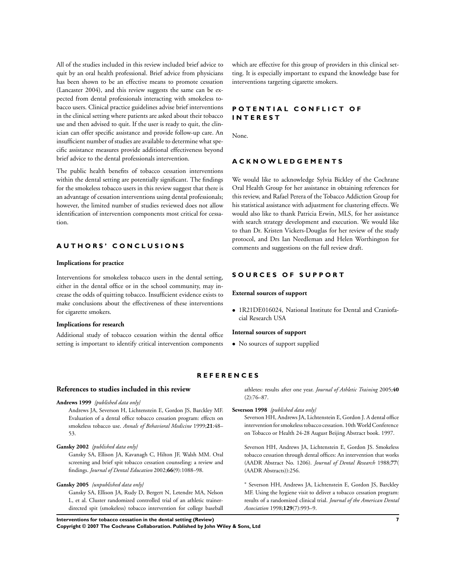All of the studies included in this review included brief advice to quit by an oral health professional. Brief advice from physicians has been shown to be an effective means to promote cessation (Lancaster 2004), and this review suggests the same can be expected from dental professionals interacting with smokeless tobacco users. Clinical practice guidelines advise brief interventions in the clinical setting where patients are asked about their tobacco use and then advised to quit. If the user is ready to quit, the clinician can offer specific assistance and provide follow-up care. An insufficient number of studies are available to determine what specific assistance measures provide additional effectiveness beyond brief advice to the dental professionals intervention.

The public health benefits of tobacco cessation interventions within the dental setting are potentially significant. The findings for the smokeless tobacco users in this review suggest that there is an advantage of cessation interventions using dental professionals; however, the limited number of studies reviewed does not allow identification of intervention components most critical for cessation.

# **A U T H O R S ' C O N C L U S I O N S**

#### **Implications for practice**

Interventions for smokeless tobacco users in the dental setting, either in the dental office or in the school community, may increase the odds of quitting tobacco. Insufficient evidence exists to make conclusions about the effectiveness of these interventions for cigarette smokers.

## **Implications for research**

Additional study of tobacco cessation within the dental office setting is important to identify critical intervention components which are effective for this group of providers in this clinical setting. It is especially important to expand the knowledge base for interventions targeting cigarette smokers.

# **POTENTIAL CONFLICT OF I N T E R E S T**

None.

## **A C K N O W L E D G E M E N T S**

We would like to acknowledge Sylvia Bickley of the Cochrane Oral Health Group for her assistance in obtaining references for this review, and Rafael Perera of the Tobacco Addiction Group for his statistical assistance with adjustment for clustering effects. We would also like to thank Patricia Erwin, MLS, for her assistance with search strategy development and execution. We would like to than Dr. Kristen Vickers-Douglas for her review of the study protocol, and Drs Ian Needleman and Helen Worthington for comments and suggestions on the full review draft.

# **S O U R C E S O F S U P P O R T**

#### **External sources of support**

• 1R21DE016024, National Institute for Dental and Craniofacial Research USA

## **Internal sources of support**

• No sources of support supplied

# **R E F E R E N C E S**

## **References to studies included in this review**

**Andrews 1999** *{published data only}*

Andrews JA, Severson H, Lichtenstein E, Gordon JS, Barckley MF. Evaluation of a dental office tobacco cessation program: effects on smokeless tobacco use. *Annals of Behavioral Medicine* 1999;**21**:48– 53.

## **Gansky 2002** *{published data only}*

Gansky SA, Ellison JA, Kavanagh C, Hilton JF, Walsh MM. Oral screening and brief spit tobacco cessation counseling: a review and findings. *Journal of Dental Education* 2002;**66**(9):1088–98.

#### **Gansky 2005** *{unpublished data only}*

Gansky SA, Ellison JA, Rudy D, Bergert N, Letendre MA, Nelson L, et al. Cluster randomized controlled trial of an athletic trainerdirected spit (smokeless) tobacco intervention for college baseball athletes: results after one year. *Journal of Athletic Training* 2005;**40** (2):76–87.

#### **Severson 1998** *{published data only}*

Severson HH, Andrews JA, Lichtenstein E, Gordon J. A dental office intervention for smokeless tobacco cessation. 10th World Conference on Tobacco or Health 24-28 August Beijing Abstract book. 1997.

Severson HH, Andrews JA, Lichtenstein E, Gordon JS. Smokeless tobacco cessation through dental offices: An intervention that works (AADR Abstract No. 1206). *Journal of Dental Research* 1988;**77**( (AADR Abstracts)):256.

<sup>∗</sup> Severson HH, Andrews JA, Lichtenstein E, Gordon JS, Barckley MF. Using the hygiene visit to deliver a tobacco cessation program: results of a randomized clinical trial. *Journal of the American Dental Association* 1998;**129**(7):993–9.

**Interventions for tobacco cessation in the dental setting (Review) 7 Copyright © 2007 The Cochrane Collaboration. Published by John Wiley & Sons, Ltd**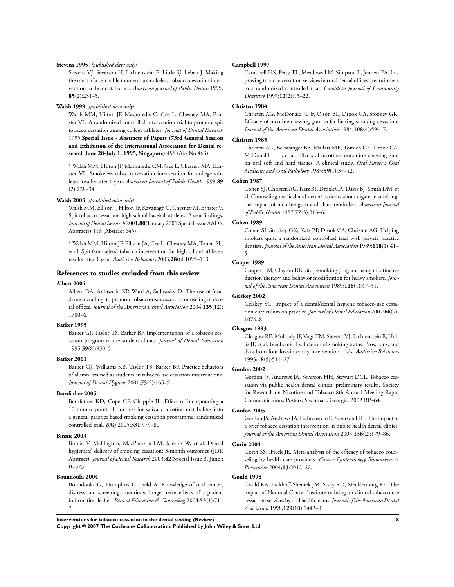## **Stevens 1995** *{published data only}*

Stevens VJ, Severson H, Lichtenstein E, Little SJ, Leben J. Making the most of a teachable moment: a smokeless-tobacco cessation intervention in the dental office. *American Journal of Public Health* 1995; **85**(2):231–5.

## **Walsh 1999** *{published data only}*

Walsh MM, Hilton JF, Masouredis C, Gee L, Chesney MA, Ernster VL. A randomized controlled intervention trial to promote spit tobacco cessation among college athletes. *Journal of Dental Research* 1995;**Special Issue - Abstracts of Papers (73rd General Session and Exhibition of the International Association for Dental research June 28-July 1, 1995, Singapore)**:458 (Abs No 463).

<sup>∗</sup> Walsh MM, Hilton JF, Masouredis CM, Gee L, Chesney MA, Ernster VL. Smokeless tobacco cessation intervention for college athletes: results after 1 year. *American Journal of Public Health* 1999;**89** (2):228–34.

# **Walsh 2003** *{published data only}*

Walsh MM, Ellison J, Hilton JF, Kavanagh C, Chesney M, Ernster V. Spit tobacco cessation: high school baseball athletes, 2 year findings. *Journal of Dental Research* 2001;**80**(January 2001 Special Issue AADR Abstracts):116 (Abstract 645).

<sup>∗</sup> Walsh MM, Hilton JF, Ellison JA, Gee L, Chesney MA, Tomar SL, et al. Spit (smokeless) tobacco intervention for high school athletes: results after 1 year. *Addictive Behaviors* 2003;**28**(6):1095–113.

## **References to studies excluded from this review**

#### **Albert 2004**

Albert DA, Anluwalia KP, Ward A, Sadowsky D. The use of 'academic detailing' to promote tobacco-use cessation counseling in dental offices. *Journal of the American Dental Association* 2004;**135**(12): 1700–6.

#### **Barker 1995**

Barker GJ, Taylor TS, Barker BF. Implementation of a tobacco cessation program in the student clinics. *Journal of Dental Education* 1995;**59**(8):850–5.

#### **Barker 2001**

Barker GJ, Williams KB, Taylor TS, Barker BF. Practice behaviors of alumni trained as students in tobacco use cessation interventions. *Journal of Dental Hygiene* 2001;**75**(2):165–9.

#### **Barnfather 2005**

Barnfather KD, Cope GF, Chapple IL. Effect of incorporating a 10 minute point of care test for salivary nicotine metabolites into a general practice based smoking cessation programme: randomised controlled trial. *BMJ* 2005;**331**:979–80.

#### **Binnie 2003**

Binnie V, McHugh S, MacPherson LM, Jenkins W, et al. Dental hygienists' delivery of smoking cessation: 3-month outcomes (JDR Abstract). *Journal of Dental Research* 2003;**82**(Special Issue B, June): B–373.

# **Boundouki 2004**

Boundouki G, Humphris G, Field A. Knowledge of oral cancer, distress and screening intentions: longer term effects of a patient information leaflet. *Patient Education & Counseling* 2004;**53**(1):71– 7.

#### **Campbell 1997**

Campbell HS, Petty TL, Meadows LM, Simpson L, Jennett PA. Improving tobacco cessation services in rural dental offices - recruitment to a randomized controlled trial. *Canadian Journal of Community Dentistry* 1997;**12**(2):15–22.

# **Christen 1984**

Christen AG, McDonald JL Jr, Olson BL, Drook CA, Stookey GK. Efficacy of nicotine chewing gum in facilitating smoking cessation. *Journal of the American Dental Association* 1984;**108**(4):594–7.

#### **Christen 1985**

Christen AG, Beiswanger BB, Mallatt ME, Tomich CE, Drook CA, McDonald JL Jr, et al. Effects of nicotine-containing chewing gum on oral soft and hard tissues: A clinical study. *Oral Surgery, Oral Medicine and Oral Pathology* 1985;**59**(1):37–42.

#### **Cohen 1987**

Cohen SJ, Christen AG, Katz BP, Drook CA, Davis BJ, Smith DM, et al. Counseling medical and dental patients about cigarette smoking: the impact of nicotine gum and chart reminders. *American Journal of Public Health* 1987;**77**(3):313–6.

#### **Cohen 1989**

Cohen SJ, Stookey GK, Katz BP, Drook CA, Christen AG. Helping smokers quit: a randomized controlled trial with private practice dentists. *Journal of the American Dental Association* 1989;**118**(1):41– 5.

#### **Cooper 1989**

Cooper TM, Clayton RR. Stop-smoking program using nicotine reduction therapy and behavior modification for heavy smokers. *Journal of the American Dental Association* 1989;**118**(1):47–51.

# **Gelskey 2002**

Gelskey SC. Impact of a dental/dental hygiene tobacco-use cessation curriculum on practice. *Journal of Dental Education* 2002;**66**(9): 1074–8.

#### **Glasgow 1993**

Glasgow RE, Mullooly JP, Vogt TM, Stevens VJ, Lichtenstein E, Hollis JF, et al. Biochemical validation of smoking status: Pros, cons, and data from four low-intensity intervention trials. *Addictive Behaviors* 1993;**18**(5):511–27.

#### **Gordon 2002**

Gordon JS, Andrews JA, Severson HH, Stewart DCL. Tobacco cessation via public health dental clinics: preliminary results. Society for Research on Nicotine and Tobacco 8th Annual Meeting Rapid Communications Posters, Savannah, Georgia. 2002:RP–64.

#### **Gordon 2005**

Gordon JS, Andrews JA, Lichtenstein E, Severson HH. The impact of a brief tobacco cessation intervention in public health dental clinics. *Journal of the American Dental Association* 2005;**136**(2):179–86.

#### **Gorin 2004**

Gorin SS, .Heck JE. Meta-analysis of the efficacy of tobacco counseling by health care providers. *Cancer Epidemiology Biomarkers & Prevention* 2004;**13**:2012–22.

# **Gould 1998**

Gould KA, Eickhoff-Shemek JM, Stacy RD, Mecklenburg RE. The impact of National Cancer Institute training on clinical tobacco use cessation: services by oral health teams.*Journal of the American Dental Association* 1998;**129**(10):1442–9.

**Interventions for tobacco cessation in the dental setting (Review) 8**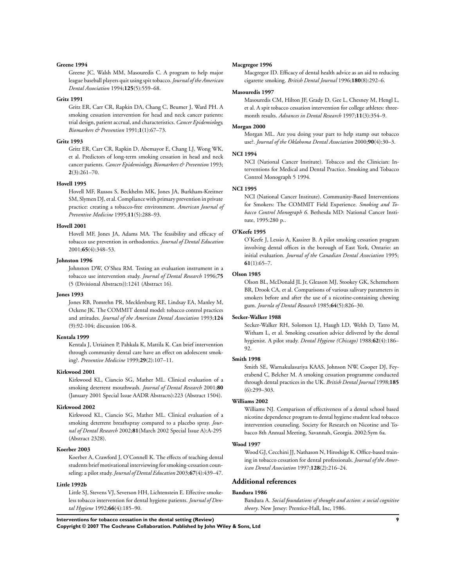#### **Greene 1994**

Greene JC, Walsh MM, Masouredis C. A program to help major league baseball players quit using spit tobacco. *Journal of the American Dental Association* 1994;**125**(5):559–68.

#### **Gritz 1991**

Gritz ER, Carr CR, Rapkin DA, Chang C, Beumer J, Ward PH. A smoking cessation intervention for head and neck cancer patients: trial design, patient accrual, and characteristics. *Cancer Epidemiology, Biomarkers & Prevention* 1991;**1**(1):67–73.

# **Gritz 1993**

Gritz ER, Carr CR, Rapkin D, Abemayor E, Chang LJ, Wong WK, et al. Predictors of long-term smoking cessation in head and neck cancer patients. *Cancer Epidemiology, Biomarkers & Prevention* 1993; **2**(3):261–70.

#### **Hovell 1995**

Hovell MF, Russos S, Beckhelm MK, Jones JA, Burkham-Kreitner SM, Slymen DJ, et al. Compliance with primary prevention in private practice: creating a tobacco-free environment. *American Journal of Preventive Medicine* 1995;**11**(5):288–93.

# **Hovell 2001**

Hovell MF, Jones JA, Adams MA. The feasibility and efficacy of tobacco use prevention in orthodontics. *Journal of Dental Education* 2001;**65**(4):348–53.

#### **Johnston 1996**

Johnston DW, O'Shea RM. Testing an evaluation instrument in a tobacco use intervention study. *Journal of Dental Research* 1996;**75** (5 (Divisional Abstracts)):1241 (Abstract 16).

#### **Jones 1993**

Jones RB, Pomrehn PR, Mecklenburg RE, Lindsay EA, Manley M, Ockene JK. The COMMIT dental model: tobacco control practices and attitudes. *Journal of the American Dental Association* 1993;**124** (9):92-104; discussion 106-8.

## **Kentala 1999**

Kentala J, Utriainen P, Pahkala K, Mattila K. Can brief intervention through community dental care have an effect on adolescent smoking?. *Preventive Medicine* 1999;**29**(2):107–11.

#### **Kirkwood 2001**

Kirkwood KL, Ciancio SG, Mather ML. Clinical evaluation of a smoking deterrent mouthwash. *Journal of Dental Research* 2001;**80** (January 2001 Special Issue AADR Abstracts):223 (Abstract 1504).

#### **Kirkwood 2002**

Kirkwood KL, Ciancio SG, Mather ML. Clinical evaluation of a smoking deterrent breathspray compared to a placebo spray. *Journal of Dental Research* 2002;**81**(March 2002 Special Issue A):A-295 (Abstract 2328).

#### **Koerber 2003**

Koerber A, Crawford J, O'Connell K. The effects of teaching dental students brief motivational interviewing for smoking-cessation counseling: a pilot study. *Journal of Dental Education* 2003;**67**(4):439–47.

#### **Little 1992b**

Little SJ, Stevens VJ, Severson HH, Lichtenstein E. Effective smokeless tobacco intervention for dental hygiene patients. *Journal of Dental Hygiene* 1992;**66**(4):185–90.

#### **Macgregor 1996**

Macgregor ID. Efficacy of dental health advice as an aid to reducing cigarette smoking. *British Dental Journal* 1996;**180**(8):292–6.

#### **Masouredis 1997**

Masouredis CM, Hilton JF, Grady D, Gee L, Chesney M, Hengl L, et al. A spit tobacco cessation intervention for college athletes: threemonth results. *Advances in Dental Research* 1997;**11**(3):354–9.

## **Morgan 2000**

Morgan ML. Are you doing your part to help stamp out tobacco use?. *Journal of the Oklahoma Dental Association* 2000;**90**(4):30–3.

## **NCI 1994**

NCI (National Cancer Institute). Tobacco and the Clinician: Interventions for Medical and Dental Practice. Smoking and Tobacco Control Monograph 5 1994.

#### **NCI 1995**

NCI (National Cancer Institute). Community-Based Interventions for Smokers: The COMMIT Field Experience. *Smoking and Tobacco Control Monograph 6*. Bethesda MD: National Cancer Institute, 1995:280 p..

## **O'Keefe 1995**

O'Keefe J, Lessio A, Kassirer B. A pilot smoking cessation program involving dental offices in the borough of East York, Ontario: an initial evaluation. *Journal of the Canadian Dental Association* 1995; **61**(1):65–7.

## **Olson 1985**

Olson BL, McDonald JL Jr, Gleason MJ, Stookey GK, Schemehorn BR, Drook CA, et al. Comparisons of various salivary parameters in smokers before and after the use of a nicotine-containing chewing gum. *Journla of Dental Research* 1985;**64**(5):826–30.

## **Secker-Walker 1988**

Secker-Walker RH, Solomon LJ, Haugh LD, Welsh D, Tatro M, Witham L, et al. Smoking cessation advice delivered by the dental hygienist. A pilot study. *Dental Hygiene (Chicago)* 1988;**62**(4):186– 92.

#### **Smith 1998**

Smith SE, Warnakulasuriya KAAS, Johnson NW, Cooper DJ, Feyerabend C, Belcher M. A smoking cessation programme conducted through dental practices in the UK. *British Dental Journal* 1998;**185** (6):299–303.

#### **Williams 2002**

Williams NJ. Comparison of effectiveness of a dental school based nicotine dependence program to dental hygiene student lead tobacco intervention counseling. Society for Research on Nicotine and Tobacco 8th Annual Meeting, Savannah, Georgia. 2002:Sym 6a.

#### **Wood 1997**

Wood GJ, Cecchini JJ, Nathason N, Hiroshige K. Office-based training in tobacco cessation for dental professionals. *Journal of the American Dental Association* 1997;**128**(2):216–24.

# **Additional references**

## **Bandura 1986**

Bandura A. *Social foundations of thought and action: a social cognitive theory*. New Jersey: Prentice-Hall, Inc, 1986.

**Interventions for tobacco cessation in the dental setting (Review) 9 Copyright © 2007 The Cochrane Collaboration. Published by John Wiley & Sons, Ltd**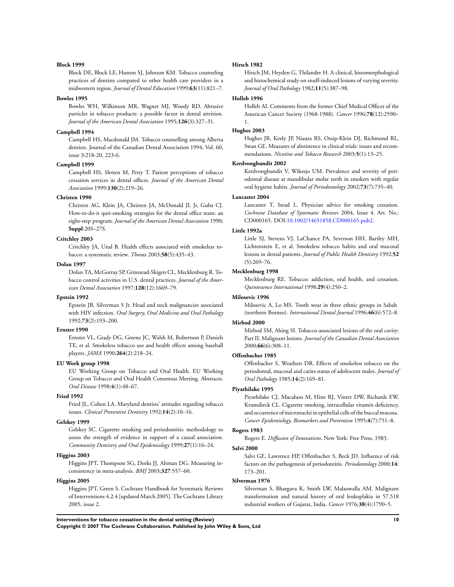#### **Block 1999**

Block DE, Block LE, Hutton SJ, Johnson KM. Tobacco counseling practices of dentists compared to other health care providers in a midwestern region. *Journal of Dental Education* 1999;**63**(11):821–7.

#### **Bowles 1995**

Bowles WH, Wilkinson MR, Wagner MJ, Woody RD. Abrasive particles in tobacco products: a possible factor in dental attrition. *Journal of the American Dental Association* 1995;**126**(3):327–31.

# **Campbell 1994**

Campbell HS, Macdonald JM. Tobacco counselling among Alberta dentists. Journal of the Canadian Dental Association 1994; Vol. 60, issue 3:218-20, 223-6.

# **Campbell 1999**

Campbell HS, Sletten M, Petty T. Patient perceptions of tobacco cessation services in dental offices. *Journal of the American Dental Association* 1999;**130**(2):219–26.

#### **Christen 1990**

Christen AG, Klein JA, Christen JA, McDonald JL Jr, Guba CJ. How-to-do-it quit-smoking strategies for the dental office team: an eight-step program. *Journal of the American Dental Association* 1990; **Suppl**:20S–27S.

# **Critchley 2003**

Critchley JA, Unal B. Health effects associated with smokeless tobacco: a systematic review. *Thorax* 2003;**58**(5):435–43.

#### **Dolan 1997**

Dolan TA, McGorray SP, Grinstead-Skigen CL, Mecklenburg R. Tobacco control activities in U.S. dental practices. *Journal of the American Dental Association* 1997;**128**(12):1669–79.

#### **Epstein 1992**

Epstein JB, Silverman S Jr. Head and neck malignancies associated with HIV infection. *Oral Surgery, Oral Medicine and Oral Pathology* 1992;**73**(2):193–200.

## **Ernster 1990**

Ernster VL, Grady DG, Greene JC, Walsh M, Robertson P, Daniels TE, et al. Smokeless tobacco use and health effects among baseball players. *JAMA* 1990;**264**(2):218–24.

## **EU Work group 1998**

EU Working Group on Tobacco and Oral Health. EU Working Group on Tobacco and Oral Health Consensus Meeting. Abstracts. *Oral Disease* 1998;**4**(1):48–67.

### **Fried 1992**

Fried JL, Cohen LA. Maryland dentists' attitudes regarding tobacco issues. *Clinical Preventive Dentistry* 1992;**14**(2):10–16.

#### **Gelskey 1999**

Gelskey SC. Cigarette smoking and periodontitis: methodology to assess the strength of evidence in support of a causal association. *Community Dentistry and Oral Epidemiology* 1999;**27**(1):16–24.

# **Higgins 2003**

Higgins JPT, Thompson SG, Deeks JJ, Altman DG. Measuring inconsistency in meta-analysis. *BMJ* 2003;**327**:557–60.

## **Higgins 2005**

Higgins JPT, Green S. Cochrane Handbook for Systematic Reviews of Interventions 4.2.4 [updated March 2005]. The Cochrane Library 2005, issue 2.

#### **Hirsch 1982**

Hirsch JM, Heyden G, Thilander H. A clinical, histomorphological and histochemical study on snuff-induced lesions of varying severity. *Journal of Oral Pathology* 1982;**11**(5):387–98.

#### **Holleb 1996**

Holleb AI. Comments from the former Chief Medical Officer of the American Cancer Society (1968-1988). *Cancer* 1996;**78**(12):2590– 1.

#### **Hughes 2003**

Hughes JR, Keely JP, Niaura RS, Ossip-Klein DJ, Richmond RL, Swan GE. Measures of abstinence in clinical trials: issues and recommendations. *Nicotine and Tobacco Research* 2003;**5**(1):13–25.

## **Kerdvongbundit 2002**

Kerdvongbundit V, Wikesjo UM. Prevalence and severity of periodontal disease at mandibular molar teeth in smokers with regular oral hygiene habits. *Journal of Periodontology* 2002;**73**(7):735–40.

# **Lancaster 2004**

Lancaster T, Stead L. Physician advice for smoking cessation. *Cochrane Database of Systematic Reviews* 2004, Issue 4. Art. No.: CD000165. DOI:[10.1002/14651858.CD000165.pub2](ignorespaces http://dx.doi.org/10.1002/14651858.CD000165.pub2unskip unskip ).

#### **Little 1992a**

Little SJ, Stevens VJ, LaChance PA, Severson HH, Bartley MH, Lichtenstein E, et al. Smokeless tobacco habits and oral mucosal lesions in dental patients. *Journal of Public Health Dentistry* 1992;**52**  $(5):269 - 76.$ 

#### **Mecklenburg 1998**

Mecklenburg RE. Tobacco: addiction, oral health, and cessation. *Quintessence International* 1998;**29**(4):250–2.

#### **Milosevic 1996**

Milosevic A, Lo MS. Tooth wear in three ethnic groups in Sabah (northern Borneo). *International Dental Journal* 1996;**46**(6):572–8.

## **Mirbod 2000**

Mirbod SM, Ahing SI. Tobacco-associated lesions of the oral cavity: Part II. Malignant lesions. *Journal of the Canadian Dental Association* 2000;**66**(6):308–11.

#### **Offenbacher 1985**

Offenbacher S, Weathers DR. Effects of smokeless tobacco on the periodontal, mucosal and caries status of adolescent males. *Journal of Oral Pathology* 1985;**14**(2):169–81.

## **Piyathilake 1995**

Piyathilake CJ, Macaluso M, Hine RJ, Vinter DW, Richards EW, Krumdieck CL. Cigarette smoking, intracellular vitamin deficiency, and occurrence of micronuclei in epithelial cells of the buccal mucosa. *Cancer Epidemiology, Biomarkers and Prevention* 1995;**4**(7):751–8.

# **Rogers 1983**

Rogers E. *Diffusion of Innovations*. New York: Free Press, 1983.

#### **Salvi 2000**

Salvi GE, Lawrence HP, Offenbacher S, Beck JD. Influence of risk factors on the pathogenesis of periodontitis. *Periodontology* 2000;**14**: 173–201.

#### **Silverman 1976**

Silverman S, Bhargava K, Smith LW, Malaowalla AM. Malignant transformation and natural history of oral leukoplakia in 57,518 industrial workers of Gujarat, India. *Cancer* 1976;**38**(4):1790–5.

**Interventions for tobacco cessation in the dental setting (Review) 10**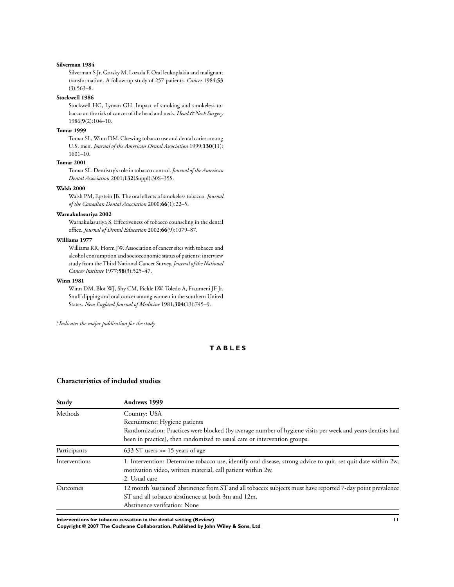## **Silverman 1984**

Silverman S Jr, Gorsky M, Lozada F. Oral leukoplakia and malignant transformation. A follow-up study of 257 patients. *Cancer* 1984;**53**  $(3):563-8.$ 

## **Stockwell 1986**

Stockwell HG, Lyman GH. Impact of smoking and smokeless tobacco on the risk of cancer of the head and neck. *Head & Neck Surgery* 1986;**9**(2):104–10.

#### **Tomar 1999**

Tomar SL, Winn DM. Chewing tobacco use and dental caries among U.S. men. *Journal of the American Dental Association* 1999;**130**(11): 1601–10.

## **Tomar 2001**

Tomar SL. Dentistry's role in tobacco control. *Journal of the American Dental Association* 2001;**132**(Suppl):30S–35S.

#### **Walsh 2000**

Walsh PM, Epstein JB. The oral effects of smokeless tobacco. *Journal of the Canadian Dental Association* 2000;**66**(1):22–5.

## **Warnakulasuriya 2002**

Warnakulasuriya S. Effectiveness of tobacco counseling in the dental office. *Journal of Dental Education* 2002;**66**(9):1079–87.

# **Williams 1977**

Williams RR, Horm JW. Association of cancer sites with tobacco and alcohol consumption and socioeconomic status of patients: interview study from the Third National Cancer Survey. *Journal of the National Cancer Institute* 1977;**58**(3):525–47.

## **Winn 1981**

Winn DM, Blot WJ, Shy CM, Pickle LW, Toledo A, Fraumeni JF Jr. Snuff dipping and oral cancer among women in the southern United States. *New England Journal of Medicine* 1981;**304**(13):745–9.

∗ *Indicates the major publication for the study*

# **T A B L E S**

# **Characteristics of included studies**

| Study         | Andrews 1999                                                                                                                                                                                                            |
|---------------|-------------------------------------------------------------------------------------------------------------------------------------------------------------------------------------------------------------------------|
| Methods       | Country: USA                                                                                                                                                                                                            |
|               | Recruitment: Hygiene patients<br>Randomization: Practices were blocked (by average number of hygiene visits per week and years dentists had<br>been in practice), then randomized to usual care or intervention groups. |
| Participants  | 633 ST users $> = 15$ years of age                                                                                                                                                                                      |
| Interventions | 1. Intervention: Determine tobacco use, identify oral disease, strong advice to quit, set quit date within 2w,<br>motivation video, written material, call patient within 2w.<br>2. Usual care                          |
| Outcomes      | 12 month 'sustained' abstinence from ST and all tobacco: subjects must have reported 7-day point prevalence<br>ST and all tobacco abstinence at both 3m and 12m.<br>Abstinence verifcation: None                        |

**Interventions for tobacco cessation in the dental setting (Review) 11**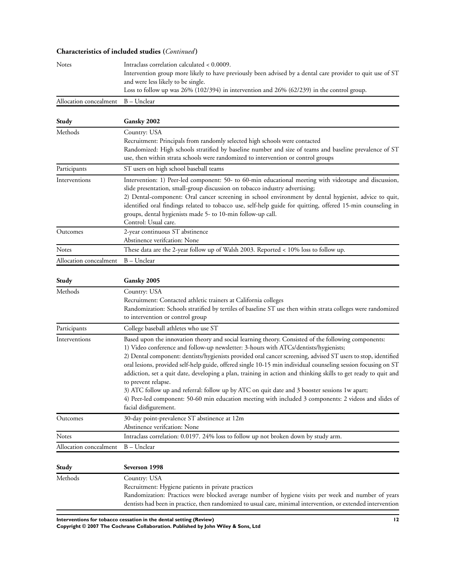# **Characteristics of included studies (***Continued* **)**

| Notes                  | Intraclass correlation calculated < 0.0009.                                                                                                                                                                                                                                                                                                                                                                                                                                                                                                                                                                                                                                                                                                                                                               |  |
|------------------------|-----------------------------------------------------------------------------------------------------------------------------------------------------------------------------------------------------------------------------------------------------------------------------------------------------------------------------------------------------------------------------------------------------------------------------------------------------------------------------------------------------------------------------------------------------------------------------------------------------------------------------------------------------------------------------------------------------------------------------------------------------------------------------------------------------------|--|
|                        | Intervention group more likely to have previously been advised by a dental care provider to quit use of ST                                                                                                                                                                                                                                                                                                                                                                                                                                                                                                                                                                                                                                                                                                |  |
|                        | and were less likely to be single.<br>Loss to follow up was 26% (102/394) in intervention and 26% (62/239) in the control group.                                                                                                                                                                                                                                                                                                                                                                                                                                                                                                                                                                                                                                                                          |  |
| Allocation concealment | B - Unclear                                                                                                                                                                                                                                                                                                                                                                                                                                                                                                                                                                                                                                                                                                                                                                                               |  |
|                        |                                                                                                                                                                                                                                                                                                                                                                                                                                                                                                                                                                                                                                                                                                                                                                                                           |  |
| Study                  | Gansky 2002                                                                                                                                                                                                                                                                                                                                                                                                                                                                                                                                                                                                                                                                                                                                                                                               |  |
| Methods                | Country: USA<br>Recruitment: Principals from randomly selected high schools were contacted<br>Randomized: High schools stratified by baseline number and size of teams and baseline prevalence of ST<br>use, then within strata schools were randomized to intervention or control groups                                                                                                                                                                                                                                                                                                                                                                                                                                                                                                                 |  |
| Participants           | ST users on high school baseball teams                                                                                                                                                                                                                                                                                                                                                                                                                                                                                                                                                                                                                                                                                                                                                                    |  |
| Interventions          | Intervention: 1) Peer-led component: 50- to 60-min educational meeting with videotape and discussion,<br>slide presentation, small-group discussion on tobacco industry advertising;<br>2) Dental-component: Oral cancer screening in school environment by dental hygienist, advice to quit,<br>identified oral findings related to tobacco use, self-help guide for quitting, offered 15-min counseling in<br>groups, dental hygienists made 5- to 10-min follow-up call.<br>Control: Usual care.                                                                                                                                                                                                                                                                                                       |  |
| Outcomes               | 2-year continuous ST abstinence                                                                                                                                                                                                                                                                                                                                                                                                                                                                                                                                                                                                                                                                                                                                                                           |  |
|                        | Abstinence verifcation: None                                                                                                                                                                                                                                                                                                                                                                                                                                                                                                                                                                                                                                                                                                                                                                              |  |
| Notes                  | These data are the 2-year follow up of Walsh 2003. Reported < 10% loss to follow up.                                                                                                                                                                                                                                                                                                                                                                                                                                                                                                                                                                                                                                                                                                                      |  |
| Allocation concealment | B - Unclear                                                                                                                                                                                                                                                                                                                                                                                                                                                                                                                                                                                                                                                                                                                                                                                               |  |
| Study                  | Gansky 2005                                                                                                                                                                                                                                                                                                                                                                                                                                                                                                                                                                                                                                                                                                                                                                                               |  |
| Methods                | Country: USA<br>Recruitment: Contacted athletic trainers at California colleges<br>Randomization: Schools stratified by tertiles of baseline ST use then within strata colleges were randomized<br>to intervention or control group                                                                                                                                                                                                                                                                                                                                                                                                                                                                                                                                                                       |  |
| Participants           | College baseball athletes who use ST                                                                                                                                                                                                                                                                                                                                                                                                                                                                                                                                                                                                                                                                                                                                                                      |  |
| Interventions          | Based upon the innovation theory and social learning theory. Consisted of the following components:<br>1) Video conference and follow-up newsletter: 3-hours with ATCs/dentists/hygienists;<br>2) Dental component: dentists/hygienists provided oral cancer screening, advised ST users to stop, identified<br>oral lesions, provided self-help guide, offered single 10-15 min individual counseling session focusing on ST<br>addiction, set a quit date, developing a plan, training in action and thinking skills to get ready to quit and<br>to prevent relapse.<br>3) ATC follow up and referral: follow up by ATC on quit date and 3 booster sessions 1w apart;<br>4) Peer-led component: 50-60 min education meeting with included 3 components: 2 videos and slides of<br>facial disfigurement. |  |
| Outcomes               | 30-day point-prevalence ST abstinence at 12m<br>Abstinence verifcation: None                                                                                                                                                                                                                                                                                                                                                                                                                                                                                                                                                                                                                                                                                                                              |  |
| Notes                  | Intraclass correlation: 0.0197. 24% loss to follow up not broken down by study arm.                                                                                                                                                                                                                                                                                                                                                                                                                                                                                                                                                                                                                                                                                                                       |  |
| Allocation concealment | B - Unclear                                                                                                                                                                                                                                                                                                                                                                                                                                                                                                                                                                                                                                                                                                                                                                                               |  |
| Study                  | Severson 1998                                                                                                                                                                                                                                                                                                                                                                                                                                                                                                                                                                                                                                                                                                                                                                                             |  |
| Methods                | Country: USA<br>Recruitment: Hygiene patients in private practices<br>Randomization: Practices were blocked average number of hygiene visits per week and number of years                                                                                                                                                                                                                                                                                                                                                                                                                                                                                                                                                                                                                                 |  |

dentists had been in practice, then randomized to usual care, minimal intervention, or extended intervention

**Interventions for tobacco cessation in the dental setting (Review) 12**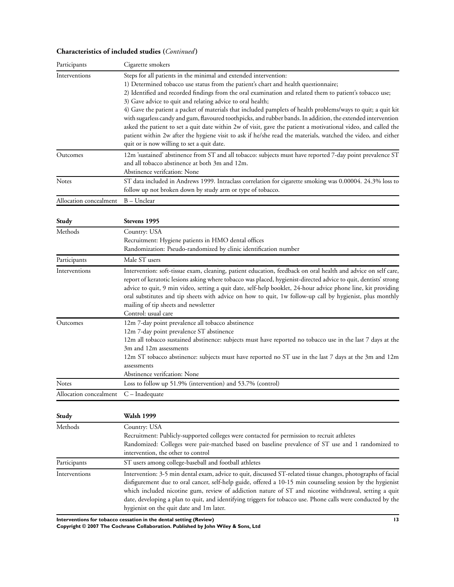# **Characteristics of included studies (***Continued* **)**

| Participants           | Cigarette smokers                                                                                                                                                                                                                                                                                                                                                                                                                                                                                                                                                                                                                                                                                                                                                                                                                                 |
|------------------------|---------------------------------------------------------------------------------------------------------------------------------------------------------------------------------------------------------------------------------------------------------------------------------------------------------------------------------------------------------------------------------------------------------------------------------------------------------------------------------------------------------------------------------------------------------------------------------------------------------------------------------------------------------------------------------------------------------------------------------------------------------------------------------------------------------------------------------------------------|
| Interventions          | Steps for all patients in the minimal and extended intervention:<br>1) Determined tobacco use status from the patient's chart and health questionnaire;<br>2) Identified and recorded findings from the oral examination and related them to patient's tobacco use;<br>3) Gave advice to quit and relating advice to oral health;<br>4) Gave the patient a packet of materials that included pamplets of health problems/ways to quit; a quit kit<br>with sugarless candy and gum, flavoured toothpicks, and rubber bands. In addition, the extended intervention<br>asked the patient to set a quit date within 2w of visit, gave the patient a motivational video, and called the<br>patient within 2w after the hygiene visit to ask if he/she read the materials, watched the video, and either<br>quit or is now willing to set a quit date. |
| Outcomes               | 12m 'sustained' abstinence from ST and all tobacco: subjects must have reported 7-day point prevalence ST<br>and all tobacco abstinence at both 3m and 12m.<br>Abstinence verifcation: None                                                                                                                                                                                                                                                                                                                                                                                                                                                                                                                                                                                                                                                       |
| Notes                  | ST data included in Andrews 1999. Intraclass correlation for cigarette smoking was 0.00004. 24.3% loss to<br>follow up not broken down by study arm or type of tobacco.                                                                                                                                                                                                                                                                                                                                                                                                                                                                                                                                                                                                                                                                           |
| Allocation concealment | B - Unclear                                                                                                                                                                                                                                                                                                                                                                                                                                                                                                                                                                                                                                                                                                                                                                                                                                       |
| Study                  | Stevens 1995                                                                                                                                                                                                                                                                                                                                                                                                                                                                                                                                                                                                                                                                                                                                                                                                                                      |
| Methods                | Country: USA<br>Recruitment: Hygiene patients in HMO dental offices<br>Randomization: Pseudo-randomized by clinic identification number                                                                                                                                                                                                                                                                                                                                                                                                                                                                                                                                                                                                                                                                                                           |
| Participants           | Male ST users                                                                                                                                                                                                                                                                                                                                                                                                                                                                                                                                                                                                                                                                                                                                                                                                                                     |
| Interventions          | Intervention: soft-tissue exam, cleaning, patient education, feedback on oral health and advice on self care,<br>report of keratotic lesions asking where tobacco was placed, hygienist-directed advice to quit, dentists' strong<br>advice to quit, 9 min video, setting a quit date, self-help booklet, 24-hour advice phone line, kit providing<br>oral substitutes and tip sheets with advice on how to quit, 1w follow-up call by hygienist, plus monthly<br>mailing of tip sheets and newsletter<br>Control: usual care                                                                                                                                                                                                                                                                                                                     |
| Outcomes               | 12m 7-day point prevalence all tobacco abstinence<br>12m 7-day point prevalence ST abstinence<br>12m all tobacco sustained abstinence: subjects must have reported no tobacco use in the last 7 days at the<br>3m and 12m assessments<br>12m ST tobacco abstinence: subjects must have reported no ST use in the last 7 days at the 3m and 12m<br>assessments<br>Abstinence verifcation: None                                                                                                                                                                                                                                                                                                                                                                                                                                                     |
| Notes                  | Loss to follow up 51.9% (intervention) and 53.7% (control)                                                                                                                                                                                                                                                                                                                                                                                                                                                                                                                                                                                                                                                                                                                                                                                        |
| Allocation concealment | C - Inadequate                                                                                                                                                                                                                                                                                                                                                                                                                                                                                                                                                                                                                                                                                                                                                                                                                                    |
| Study                  | Walsh 1999                                                                                                                                                                                                                                                                                                                                                                                                                                                                                                                                                                                                                                                                                                                                                                                                                                        |
| Methods                | Country: USA                                                                                                                                                                                                                                                                                                                                                                                                                                                                                                                                                                                                                                                                                                                                                                                                                                      |

| <u>IVICLIJOUS</u>                                                     | Country. Corr                                                                                                                                                                                                                                                                                                                                                                                                                                                                                    |  |
|-----------------------------------------------------------------------|--------------------------------------------------------------------------------------------------------------------------------------------------------------------------------------------------------------------------------------------------------------------------------------------------------------------------------------------------------------------------------------------------------------------------------------------------------------------------------------------------|--|
|                                                                       | Recruitment: Publicly-supported colleges were contacted for permission to recruit athletes                                                                                                                                                                                                                                                                                                                                                                                                       |  |
|                                                                       | Randomized: Colleges were pair-matched based on baseline prevalence of ST use and 1 randomized to                                                                                                                                                                                                                                                                                                                                                                                                |  |
|                                                                       | intervention, the other to control                                                                                                                                                                                                                                                                                                                                                                                                                                                               |  |
| Participants<br>ST users among college-baseball and football athletes |                                                                                                                                                                                                                                                                                                                                                                                                                                                                                                  |  |
| Interventions                                                         | Intervention: 3-5 min dental exam, advice to quit, discussed ST-related tissue changes, photographs of facial<br>disfigurement due to oral cancer, self-help guide, offered a 10-15 min counseling session by the hygienist<br>which included nicotine gum, review of addiction nature of ST and nicotine withdrawal, setting a quit<br>date, developing a plan to quit, and identifying triggers for tobacco use. Phone calls were conducted by the<br>hygienist on the quit date and 1m later. |  |

**Interventions for tobacco cessation in the dental setting (Review) 13**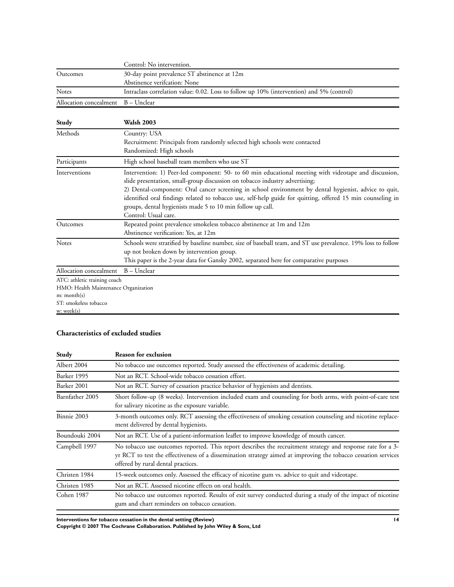|                                    | Control: No intervention.                                                                 |
|------------------------------------|-------------------------------------------------------------------------------------------|
| <b>Outcomes</b>                    | 30-day point prevalence ST abstinence at 12m                                              |
|                                    | Abstinence verifcation: None                                                              |
| <b>Notes</b>                       | Intraclass correlation value: 0.02. Loss to follow up 10% (intervention) and 5% (control) |
| Allocation concealment B – Unclear |                                                                                           |

| Study                                | <b>Walsh 2003</b>                                                                                                                                                                                                                                                                                                                                                                                                                                                                                  |
|--------------------------------------|----------------------------------------------------------------------------------------------------------------------------------------------------------------------------------------------------------------------------------------------------------------------------------------------------------------------------------------------------------------------------------------------------------------------------------------------------------------------------------------------------|
| Methods                              | Country: USA<br>Recruitment: Principals from randomly selected high schools were contacted<br>Randomized: High schools                                                                                                                                                                                                                                                                                                                                                                             |
| Participants                         | High school baseball team members who use ST                                                                                                                                                                                                                                                                                                                                                                                                                                                       |
| Interventions                        | Intervention: 1) Peer-led component: 50- to 60 min educational meeting with videotape and discussion,<br>slide presentation, small-group discussion on tobacco industry advertising;<br>2) Dental-component: Oral cancer screening in school environment by dental hygienist, advice to quit,<br>identified oral findings related to tobacco use, self-help guide for quitting, offered 15 min counseling in<br>groups, dental hygienists made 5 to 10 min follow up call.<br>Control: Usual care. |
| Outcomes                             | Repeated point prevalence smokeless tobacco abstinence at 1m and 12m<br>Abstinence verification: Yes, at 12m                                                                                                                                                                                                                                                                                                                                                                                       |
| <b>Notes</b>                         | Schools were stratified by baseline number, size of baseball team, and ST use prevalence. 19% loss to follow<br>up not broken down by intervention group.<br>This paper is the 2-year data for Gansky 2002, separated here for comparative purposes                                                                                                                                                                                                                                                |
| Allocation concealment               | B - Unclear                                                                                                                                                                                                                                                                                                                                                                                                                                                                                        |
| ATC: athletic training coach         |                                                                                                                                                                                                                                                                                                                                                                                                                                                                                                    |
| HMO: Health Maintenance Organization |                                                                                                                                                                                                                                                                                                                                                                                                                                                                                                    |
| m: month(s)                          |                                                                                                                                                                                                                                                                                                                                                                                                                                                                                                    |
| ST: smokeless tobacco                |                                                                                                                                                                                                                                                                                                                                                                                                                                                                                                    |
| w: week(s)                           |                                                                                                                                                                                                                                                                                                                                                                                                                                                                                                    |

# **Characteristics of excluded studies**

| Study<br><b>Reason for exclusion</b> |                                                                                                                                                                                                                                                                     |  |
|--------------------------------------|---------------------------------------------------------------------------------------------------------------------------------------------------------------------------------------------------------------------------------------------------------------------|--|
| Albert 2004                          | No tobacco use outcomes reported. Study assessed the effectiveness of academic detailing.                                                                                                                                                                           |  |
| Barker 1995                          | Not an RCT. School-wide tobacco cessation effort.                                                                                                                                                                                                                   |  |
| Barker 2001                          | Not an RCT. Survey of cessation practice behavior of hygienists and dentists.                                                                                                                                                                                       |  |
| Barnfather 2005                      | Short follow-up (8 weeks). Intervention included exam and counseling for both arms, with point-of-care test<br>for salivary nicotine as the exposure variable.                                                                                                      |  |
| Binnie 2003                          | 3-month outcomes only. RCT assessing the effectiveness of smoking cessation counseling and nicotine replace-<br>ment delivered by dental hygienists.                                                                                                                |  |
| Boundouki 2004                       | Not an RCT. Use of a patient-information leaflet to improve knowledge of mouth cancer.                                                                                                                                                                              |  |
| Campbell 1997                        | No tobacco use outcomes reported. This report describes the recruitment strategy and response rate for a 3-<br>yr RCT to test the effectiveness of a dissemination strategy aimed at improving the tobacco cessation services<br>offered by rural dental practices. |  |
| Christen 1984                        | 15-week outcomes only. Assessed the efficacy of nicotine gum vs. advice to quit and videotape.                                                                                                                                                                      |  |
| Christen 1985                        | Not an RCT. Assessed nicotine effects on oral health.                                                                                                                                                                                                               |  |
| Cohen 1987                           | No tobacco use outcomes reported. Results of exit survey conducted during a study of the impact of nicotine<br>gum and chart reminders on tobacco cessation.                                                                                                        |  |

**Interventions for tobacco cessation in the dental setting (Review) 14**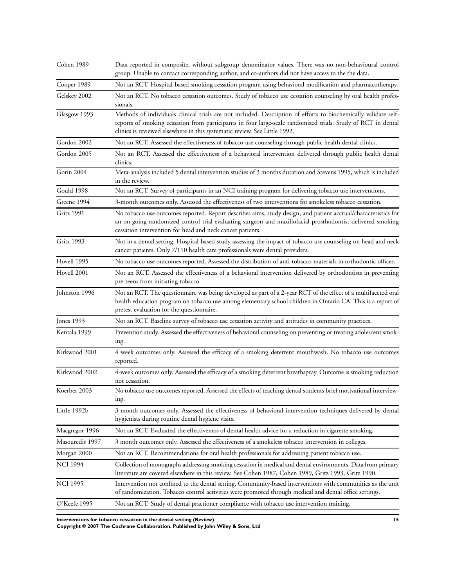| Cohen 1989                                                                                                             | Data reported in composite, without subgroup denominator values. There was no non-behavioural control<br>group. Unable to contact corresponding author, and co-authors did not have access to the the data.                                                                                                  |  |  |
|------------------------------------------------------------------------------------------------------------------------|--------------------------------------------------------------------------------------------------------------------------------------------------------------------------------------------------------------------------------------------------------------------------------------------------------------|--|--|
| Not an RCT. Hospital-based smoking cessation program using behavioral modification and pharmacotherapy.<br>Cooper 1989 |                                                                                                                                                                                                                                                                                                              |  |  |
| Gelskey 2002                                                                                                           | Not an RCT. No tobacco cessation outcomes. Study of tobacco use cessation counseling by oral health profes-<br>sionals.                                                                                                                                                                                      |  |  |
| Glasgow 1993                                                                                                           | Methods of individuals clinical trials are not included. Description of efforts to biochemically validate self-<br>reports of smoking cessation from participants in four large-scale randomized trials. Study of RCT in dental<br>clinics is reviewed elsewhere in this systematic review. See Little 1992. |  |  |
| Gordon 2002                                                                                                            | Not an RCT. Assessed the effectiveness of tobacco use counseling through public health dental clinics.                                                                                                                                                                                                       |  |  |
| Gordon 2005                                                                                                            | Not an RCT. Assessed the effectiveness of a behavioral intervention delivered through public health dental<br>clinics.                                                                                                                                                                                       |  |  |
| Gorin 2004                                                                                                             | Meta-analysis included 5 dental intervention studies of 3 months duration and Stevens 1995, which is included<br>in the review.                                                                                                                                                                              |  |  |
| Gould 1998                                                                                                             | Not an RCT. Survey of participants in an NCI training program for delivering tobacco use interventions.                                                                                                                                                                                                      |  |  |
| Greene 1994                                                                                                            | 3-month outcomes only. Assessed the effectiveness of two interventions for smokeless tobacco cessation.                                                                                                                                                                                                      |  |  |
| Gritz 1991                                                                                                             | No tobacco use outcomes reported. Report describes aims, study design, and patient accrual/characteristics for<br>an on-going randomized control trial evaluating surgeon and maxillofacial prosthodontist-delivered smoking<br>cessation intervention for head and neck cancer patients.                    |  |  |
| Gritz 1993                                                                                                             | Not in a dental setting. Hospital-based study assessing the impact of tobacco use counseling on head and neck<br>cancer patients. Only 7/110 health care professionals were dental providers.                                                                                                                |  |  |
| Hovell 1995                                                                                                            | No tobacco use outcomes reported. Assessed the distribution of anti-tobacco materials in orthodontic offices.                                                                                                                                                                                                |  |  |
| Hovell 2001                                                                                                            | Not an RCT. Assessed the effectiveness of a behavioral intervention delivered by orthodontists in preventing<br>pre-teens from initiating tobacco.                                                                                                                                                           |  |  |
| Johnston 1996                                                                                                          | Not an RCT. The questionnaire was being developed as part of a 2-year RCT of the effect of a multifaceted oral<br>health education program on tobacco use among elementary school children in Ontario CA. This is a report of<br>pretest evaluation for the questionnaire.                                   |  |  |
| <b>Jones 1993</b>                                                                                                      | Not an RCT. Baseline survey of tobacco use cessation activity and attitudes in community practices.                                                                                                                                                                                                          |  |  |
| Kentala 1999                                                                                                           | Prevention study. Assessed the effectiveness of behavioral counseling on preventing or treating adolescent smok-<br>ing.                                                                                                                                                                                     |  |  |
| Kirkwood 2001                                                                                                          | 4 week outcomes only. Assessed the efficacy of a smoking deterrent mouthwash. No tobacco use outcomes<br>reported.                                                                                                                                                                                           |  |  |
| Kirkwood 2002                                                                                                          | 4-week outcomes only. Assessed the efficacy of a smoking deterrent breathspray. Outcome is smoking reduction<br>not cessation.                                                                                                                                                                               |  |  |
| Koerber 2003                                                                                                           | No tobacco use outcomes reported. Assessed the effects of teaching dental students brief motivational interview-<br>ing.                                                                                                                                                                                     |  |  |
| Little 1992b                                                                                                           | 3-month outcomes only. Assessed the effectiveness of behavioral intervention techniques delivered by dental<br>hygienists during routine dental hygiene visits.                                                                                                                                              |  |  |
| Macgregor 1996                                                                                                         | Not an RCT. Evaluated the effectiveness of dental health advice for a reduction in cigarette smoking.                                                                                                                                                                                                        |  |  |
| Masouredis 1997                                                                                                        | 3 month outcomes only. Assessed the effectiveness of a smokeless tobacco intervention in colleges.                                                                                                                                                                                                           |  |  |
| Morgan 2000                                                                                                            | Not an RCT. Recommendations for oral health professionals for addressing patient tobacco use.                                                                                                                                                                                                                |  |  |
| <b>NCI 1994</b>                                                                                                        | Collection of monographs addressing smoking cessation in medical and dental environments. Data from primary<br>literature are covered elsewhere in this review. See Cohen 1987, Cohen 1989, Gritz 1993, Gritz 1990.                                                                                          |  |  |
| <b>NCI 1995</b>                                                                                                        | Intervention not confined to the dental setting. Community-based interventions with communities as the unit<br>of randomization. Tobacco control activities were promoted through medical and dental office settings.                                                                                        |  |  |
| O'Keefe 1995                                                                                                           | Not an RCT. Study of dental practioner compliance with tobacco use intervention training.                                                                                                                                                                                                                    |  |  |

**Interventions for tobacco cessation in the dental setting (Review) 15**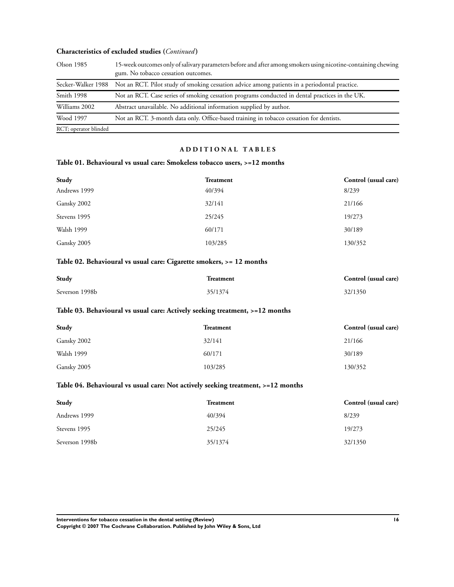# **Characteristics of excluded studies (***Continued* **)**

| Olson 1985            | 15-week outcomes only of salivary parameters before and after among smokers using nicotine-containing chewing<br>gum. No tobacco cessation outcomes. |  |
|-----------------------|------------------------------------------------------------------------------------------------------------------------------------------------------|--|
| Secker-Walker 1988    | Not an RCT. Pilot study of smoking cessation advice among patients in a periodontal practice.                                                        |  |
| Smith 1998            | Not an RCT. Case series of smoking cessation programs conducted in dental practices in the UK.                                                       |  |
| Williams 2002         | Abstract unavailable. No additional information supplied by author.                                                                                  |  |
| Wood 1997             | Not an RCT. 3-month data only. Office-based training in tobacco cessation for dentists.                                                              |  |
| RCT; operator blinded |                                                                                                                                                      |  |

# **A D D I T I O N A L T A B L E S**

# **Table 01. Behavioural vs usual care: Smokeless tobacco users, >=12 months**

| Study             | <b>Treatment</b> | Control (usual care) |
|-------------------|------------------|----------------------|
| Andrews 1999      | 40/394           | 8/239                |
| Gansky 2002       | 32/141           | 21/166               |
| Stevens 1995      | 25/245           | 19/273               |
| <b>Walsh 1999</b> | 60/171           | 30/189               |
| Gansky 2005       | 103/285          | 130/352              |

# **Table 02. Behavioural vs usual care: Cigarette smokers, >= 12 months**

| Study          | <b>Treatment</b> | Control (usual care) |
|----------------|------------------|----------------------|
| Severson 1998b | 35/1374          | 32/1350              |

# **Table 03. Behavioural vs usual care: Actively seeking treatment, >=12 months**

| Study       | Treatment | Control (usual care) |
|-------------|-----------|----------------------|
| Gansky 2002 | 32/141    | 21/166               |
| Walsh 1999  | 60/171    | 30/189               |
| Gansky 2005 | 103/285   | 130/352              |

# **Table 04. Behavioural vs usual care: Not actively seeking treatment, >=12 months**

| Study          | <b>Treatment</b> | Control (usual care) |
|----------------|------------------|----------------------|
| Andrews 1999   | 40/394           | 8/239                |
| Stevens 1995   | 25/245           | 19/273               |
| Severson 1998b | 35/1374          | 32/1350              |

**Interventions for tobacco cessation in the dental setting (Review) 16**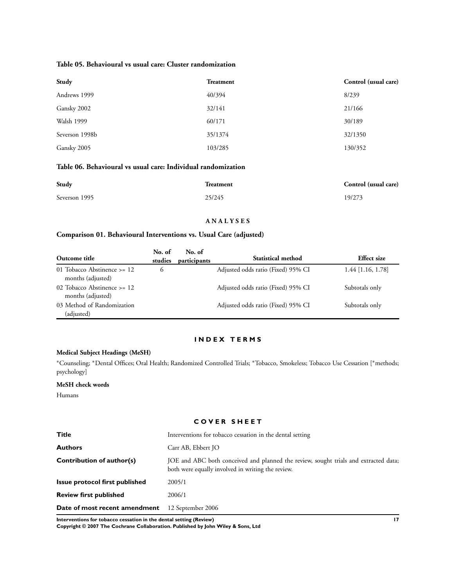# **Table 05. Behavioural vs usual care: Cluster randomization**

| Study             | Treatment | Control (usual care) |
|-------------------|-----------|----------------------|
| Andrews 1999      | 40/394    | 8/239                |
| Gansky 2002       | 32/141    | 21/166               |
| <b>Walsh 1999</b> | 60/171    | 30/189               |
| Severson 1998b    | 35/1374   | 32/1350              |
| Gansky 2005       | 103/285   | 130/352              |

# **Table 06. Behavioural vs usual care: Individual randomization**

| Study         | Treatment | Control (usual care) |
|---------------|-----------|----------------------|
| Severson 1995 | 25/245    | 19/273               |

# **A N A L Y S E S**

# **Comparison 01. Behavioural Interventions vs. Usual Care (adjusted)**

| Outcome title                                       | No. of<br>studies | No. of<br>participants | <b>Statistical method</b>          | <b>Effect</b> size  |
|-----------------------------------------------------|-------------------|------------------------|------------------------------------|---------------------|
| 01 Tobacco Abstinence $> = 12$<br>months (adjusted) | 6                 |                        | Adjusted odds ratio (Fixed) 95% CI | $1.44$ [1.16, 1.78] |
| 02 Tobacco Abstinence $> = 12$<br>months (adjusted) |                   |                        | Adjusted odds ratio (Fixed) 95% CI | Subtotals only      |
| 03 Method of Randomization<br>(adjusted)            |                   |                        | Adjusted odds ratio (Fixed) 95% CI | Subtotals only      |

# **I N D E X T E R M S**

# **Medical Subject Headings (MeSH)**

<sup>∗</sup>Counseling; <sup>∗</sup>Dental Offices; Oral Health; Randomized Controlled Trials; <sup>∗</sup>Tobacco, Smokeless; Tobacco Use Cessation [∗methods; psychology]

# **MeSH check words**

Humans

# **C O V E R S H E E T**

| Title                          | Interventions for tobacco cessation in the dental setting                                                                                 |
|--------------------------------|-------------------------------------------------------------------------------------------------------------------------------------------|
| <b>Authors</b>                 | Carr AB, Ebbert JO                                                                                                                        |
| Contribution of author(s)      | JOE and ABC both conceived and planned the review, sought trials and extracted data;<br>both were equally involved in writing the review. |
| Issue protocol first published | 2005/1                                                                                                                                    |
| <b>Review first published</b>  | 2006/1                                                                                                                                    |
| Date of most recent amendment  | 12 September 2006                                                                                                                         |

**Interventions for tobacco cessation in the dental setting (Review) 17**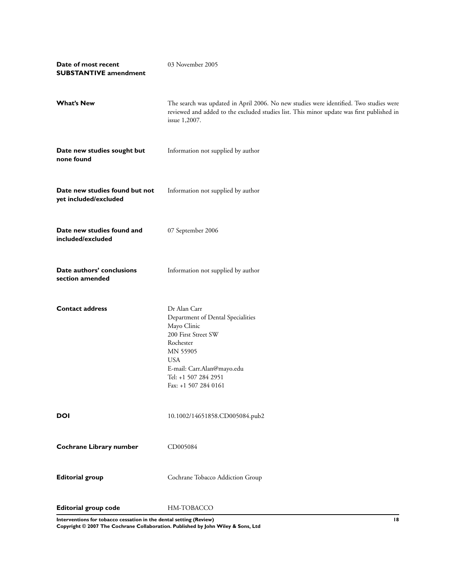| Date of most recent<br><b>SUBSTANTIVE</b> amendment     | 03 November 2005                                                                                                                                                                                             |
|---------------------------------------------------------|--------------------------------------------------------------------------------------------------------------------------------------------------------------------------------------------------------------|
| <b>What's New</b>                                       | The search was updated in April 2006. No new studies were identified. Two studies were<br>reviewed and added to the excluded studies list. This minor update was first published in<br>issue 1,2007.         |
| Date new studies sought but<br>none found               | Information not supplied by author                                                                                                                                                                           |
| Date new studies found but not<br>yet included/excluded | Information not supplied by author                                                                                                                                                                           |
| Date new studies found and<br>included/excluded         | 07 September 2006                                                                                                                                                                                            |
| Date authors' conclusions<br>section amended            | Information not supplied by author                                                                                                                                                                           |
| <b>Contact address</b>                                  | Dr Alan Carr<br>Department of Dental Specialities<br>Mayo Clinic<br>200 First Street SW<br>Rochester<br>MN 55905<br><b>USA</b><br>E-mail: Carr.Alan@mayo.edu<br>Tel: +1 507 284 2951<br>Fax: +1 507 284 0161 |
| DOI                                                     | 10.1002/14651858.CD005084.pub2                                                                                                                                                                               |
| Cochrane Library number                                 | CD005084                                                                                                                                                                                                     |
| <b>Editorial group</b>                                  | Cochrane Tobacco Addiction Group                                                                                                                                                                             |
| <b>Editorial group code</b>                             | HM-TOBACCO                                                                                                                                                                                                   |

**Interventions for tobacco cessation in the dental setting (Review) 18**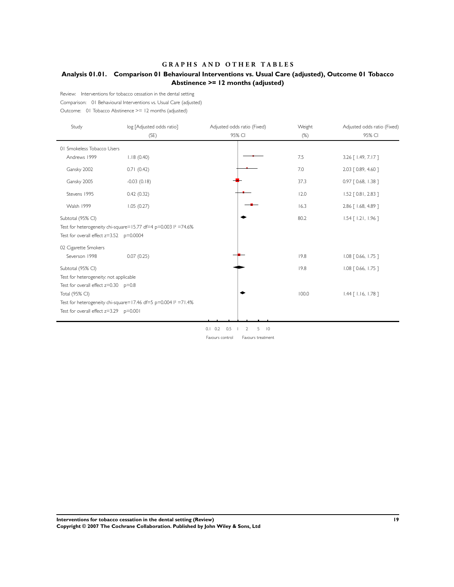# **G R A P H S A N D O T H E R T A B L E S**

# **Analysis 01.01. Comparison 01 Behavioural Interventions vs. Usual Care (adjusted), Outcome 01 Tobacco Abstinence >= 12 months (adjusted)**

Review: Interventions for tobacco cessation in the dental setting Comparison: 01 Behavioural Interventions vs. Usual Care (adjusted)

Outcome: 01 Tobacco Abstinence >= 12 months (adjusted)

| Study                                      | log [Adjusted odds ratio]                                                  | Adjusted odds ratio (Fixed) | Weight | Adjusted odds ratio (Fixed) |
|--------------------------------------------|----------------------------------------------------------------------------|-----------------------------|--------|-----------------------------|
|                                            | (SE)                                                                       | 95% CI                      | $(\%)$ | 95% CI                      |
| 01 Smokeless Tobacco Users                 |                                                                            |                             |        |                             |
| Andrews 1999                               | 1.18(0.40)                                                                 |                             | 7.5    | 3.26 [ 1.49, 7.17 ]         |
| Gansky 2002                                | 0.71(0.42)                                                                 |                             | 7.0    | 2.03 [ 0.89, 4.60 ]         |
| Gansky 2005                                | $-0.03(0.18)$                                                              |                             | 37.3   | $0.97$ [ 0.68, 1.38 ]       |
| Stevens 1995                               | 0.42(0.32)                                                                 |                             | 12.0   | $1.52$ $[0.81, 2.83]$       |
| Walsh 1999                                 | 1.05(0.27)                                                                 |                             | 16.3   | 2.86   1.68, 4.89           |
| Subtotal (95% CI)                          |                                                                            |                             | 80.2   | $1.54$ [ $1.21$ , $1.96$ ]  |
|                                            | Test for heterogeneity chi-square=15.77 df=4 p=0.003 $1^2$ =74.6%          |                             |        |                             |
| Test for overall effect $z=3.52$ p=0.0004  |                                                                            |                             |        |                             |
| 02 Cigarette Smokers                       |                                                                            |                             |        |                             |
| Severson 1998                              | 0.07(0.25)                                                                 |                             | 19.8   | $1.08$ $[0.66, 1.75]$       |
| Subtotal (95% CI)                          |                                                                            |                             | 19.8   | $1.08$ [ 0.66, 1.75 ]       |
| Test for heterogeneity: not applicable     |                                                                            |                             |        |                             |
| Test for overall effect $z=0.30$ $p=0.8$   |                                                                            |                             |        |                             |
| Total (95% CI)                             |                                                                            |                             | 100.0  | $1.44$ [ $1.16$ , $1.78$ ]  |
|                                            | Test for heterogeneity chi-square=17.46 df=5 p=0.004 l <sup>2</sup> =71.4% |                             |        |                             |
| Test for overall effect $z=3.29$ $p=0.001$ |                                                                            |                             |        |                             |
|                                            |                                                                            |                             |        |                             |

0.1 0.2 0.5 1 2 5 10

Favours control Favours treatment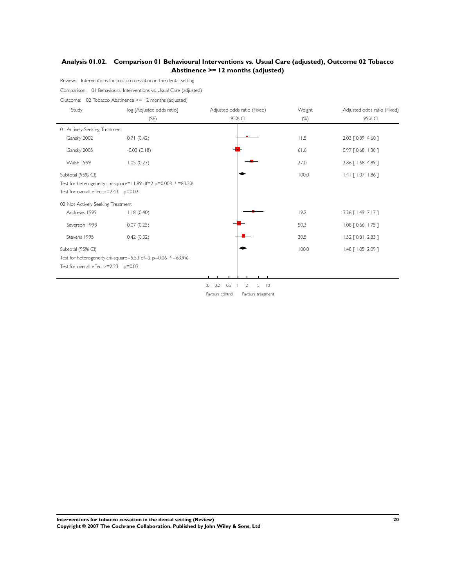# **Analysis 01.02. Comparison 01 Behavioural Interventions vs. Usual Care (adjusted), Outcome 02 Tobacco Abstinence >= 12 months (adjusted)**

Review: Interventions for tobacco cessation in the dental setting

Comparison: 01 Behavioural Interventions vs. Usual Care (adjusted)

Outcome: 02 Tobacco Abstinence >= 12 months (adjusted)

| Study                                        | log [Adjusted odds ratio]                                                  | Adjusted odds ratio (Fixed)                                 | Weight  | Adjusted odds ratio (Fixed) |
|----------------------------------------------|----------------------------------------------------------------------------|-------------------------------------------------------------|---------|-----------------------------|
|                                              | (SE)                                                                       | 95% CI                                                      | $(\%)$  | 95% CI                      |
| 01 Actively Seeking Treatment<br>Gansky 2002 | 0.71(0.42)                                                                 |                                                             | 11.5    | 2.03 [ 0.89, 4.60 ]         |
|                                              |                                                                            |                                                             |         |                             |
| Gansky 2005                                  | $-0.03(0.18)$                                                              |                                                             | $61.6$  | 0.97 [0.68, 1.38]           |
| Walsh 1999                                   | 1.05(0.27)                                                                 |                                                             | 27.0    | 2.86 [ 1.68, 4.89 ]         |
| Subtotal (95% CI)                            |                                                                            |                                                             | 100.0   | 1.41 [ 1.07, 1.86 ]         |
| Test for overall effect $z=2.43$ $p=0.02$    | Test for heterogeneity chi-square=11.89 df=2 p=0.003 l <sup>2</sup> =83.2% |                                                             |         |                             |
| 02 Not Actively Seeking Treatment            |                                                                            |                                                             |         |                             |
| Andrews 1999                                 | 1.18(0.40)                                                                 |                                                             | 19.2    | 3.26 [ 1.49, 7.17 ]         |
| Severson 1998                                | 0.07(0.25)                                                                 |                                                             | 50.3    | 1.08 [ 0.66, 1.75 ]         |
| Stevens 1995                                 | 0.42(0.32)                                                                 |                                                             | 30.5    | $1.52$ [ 0.81, 2.83 ]       |
| Subtotal (95% CI)                            |                                                                            |                                                             | $100.0$ | 1.48 [ 1.05, 2.09 ]         |
|                                              | Test for heterogeneity chi-square=5.53 df=2 p=0.06 l <sup>2</sup> =63.9%   |                                                             |         |                             |
| Test for overall effect $z=2.23$ $p=0.03$    |                                                                            |                                                             |         |                             |
|                                              |                                                                            |                                                             |         |                             |
|                                              |                                                                            | $0.1$ $0.2$ $0.5$<br>$\overline{2}$<br>5<br>$\overline{10}$ |         |                             |
|                                              |                                                                            | Favours control<br>Favours treatment                        |         |                             |
|                                              |                                                                            |                                                             |         |                             |
|                                              |                                                                            |                                                             |         |                             |
|                                              |                                                                            |                                                             |         |                             |
|                                              |                                                                            |                                                             |         |                             |
|                                              |                                                                            |                                                             |         |                             |
|                                              |                                                                            |                                                             |         |                             |
|                                              |                                                                            |                                                             |         |                             |
|                                              |                                                                            |                                                             |         |                             |
|                                              |                                                                            |                                                             |         |                             |
|                                              |                                                                            |                                                             |         |                             |
|                                              |                                                                            |                                                             |         |                             |
|                                              |                                                                            |                                                             |         |                             |
|                                              |                                                                            |                                                             |         |                             |
|                                              |                                                                            |                                                             |         |                             |
|                                              |                                                                            |                                                             |         |                             |